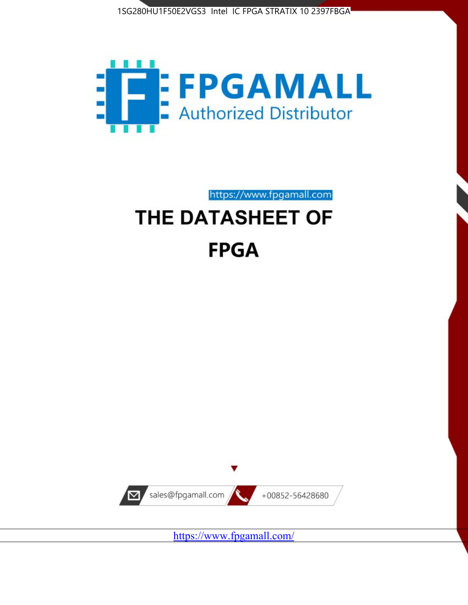



https://www.fpgamall.com

# THE DATASHEET OF **FPGA**



<https://www.fpgamall.com/>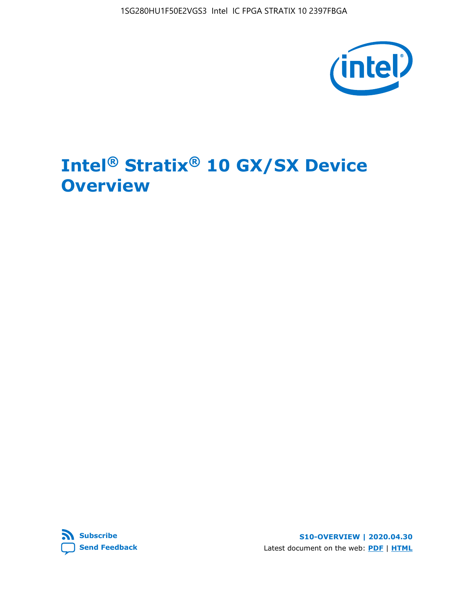

# **Intel® Stratix® 10 GX/SX Device Overview**



**S10-OVERVIEW | 2020.04.30** Latest document on the web: **[PDF](https://www.intel.com/content/dam/www/programmable/us/en/pdfs/literature/hb/stratix-10/s10-overview.pdf)** | **[HTML](https://www.intel.com/content/www/us/en/programmable/documentation/joc1442261161666.html)**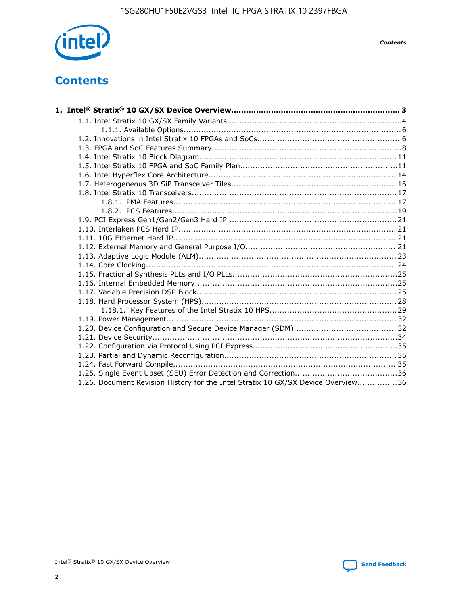

*Contents*

# **Contents**

| 1.26. Document Revision History for the Intel Stratix 10 GX/SX Device Overview36 |  |
|----------------------------------------------------------------------------------|--|

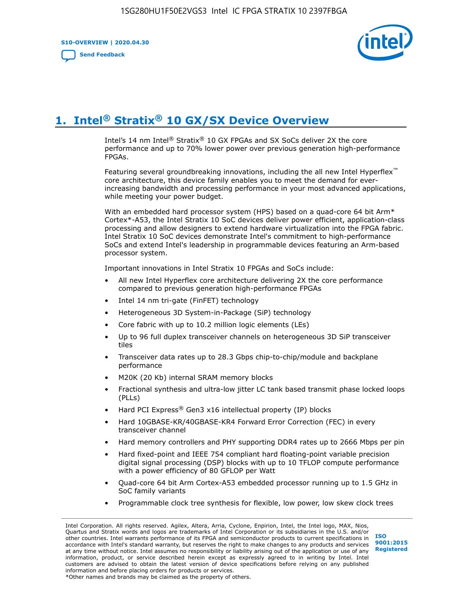**S10-OVERVIEW | 2020.04.30**

**[Send Feedback](mailto:FPGAtechdocfeedback@intel.com?subject=Feedback%20on%20Intel%20Stratix%2010%20GX/SX%20Device%20Overview%20(S10-OVERVIEW%202020.04.30)&body=We%20appreciate%20your%20feedback.%20In%20your%20comments,%20also%20specify%20the%20page%20number%20or%20paragraph.%20Thank%20you.)**



# **1. Intel® Stratix® 10 GX/SX Device Overview**

Intel's 14 nm Intel® Stratix® 10 GX FPGAs and SX SoCs deliver 2X the core performance and up to 70% lower power over previous generation high-performance FPGAs.

Featuring several groundbreaking innovations, including the all new Intel Hyperflex™ core architecture, this device family enables you to meet the demand for everincreasing bandwidth and processing performance in your most advanced applications, while meeting your power budget.

With an embedded hard processor system (HPS) based on a quad-core 64 bit Arm\* Cortex\*-A53, the Intel Stratix 10 SoC devices deliver power efficient, application-class processing and allow designers to extend hardware virtualization into the FPGA fabric. Intel Stratix 10 SoC devices demonstrate Intel's commitment to high-performance SoCs and extend Intel's leadership in programmable devices featuring an Arm-based processor system.

Important innovations in Intel Stratix 10 FPGAs and SoCs include:

- All new Intel Hyperflex core architecture delivering 2X the core performance compared to previous generation high-performance FPGAs
- Intel 14 nm tri-gate (FinFET) technology
- Heterogeneous 3D System-in-Package (SiP) technology
- Core fabric with up to 10.2 million logic elements (LEs)
- Up to 96 full duplex transceiver channels on heterogeneous 3D SiP transceiver tiles
- Transceiver data rates up to 28.3 Gbps chip-to-chip/module and backplane performance
- M20K (20 Kb) internal SRAM memory blocks
- Fractional synthesis and ultra-low jitter LC tank based transmit phase locked loops (PLLs)
- Hard PCI Express<sup>®</sup> Gen3 x16 intellectual property (IP) blocks
- Hard 10GBASE-KR/40GBASE-KR4 Forward Error Correction (FEC) in every transceiver channel
- Hard memory controllers and PHY supporting DDR4 rates up to 2666 Mbps per pin
- Hard fixed-point and IEEE 754 compliant hard floating-point variable precision digital signal processing (DSP) blocks with up to 10 TFLOP compute performance with a power efficiency of 80 GFLOP per Watt
- Quad-core 64 bit Arm Cortex-A53 embedded processor running up to 1.5 GHz in SoC family variants
- Programmable clock tree synthesis for flexible, low power, low skew clock trees

Intel Corporation. All rights reserved. Agilex, Altera, Arria, Cyclone, Enpirion, Intel, the Intel logo, MAX, Nios, Quartus and Stratix words and logos are trademarks of Intel Corporation or its subsidiaries in the U.S. and/or other countries. Intel warrants performance of its FPGA and semiconductor products to current specifications in accordance with Intel's standard warranty, but reserves the right to make changes to any products and services at any time without notice. Intel assumes no responsibility or liability arising out of the application or use of any information, product, or service described herein except as expressly agreed to in writing by Intel. Intel customers are advised to obtain the latest version of device specifications before relying on any published information and before placing orders for products or services. \*Other names and brands may be claimed as the property of others.

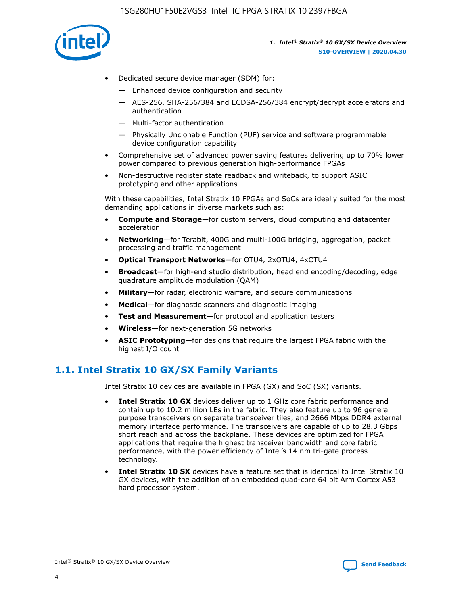

- Dedicated secure device manager (SDM) for:
	- Enhanced device configuration and security
	- AES-256, SHA-256/384 and ECDSA-256/384 encrypt/decrypt accelerators and authentication
	- Multi-factor authentication
	- Physically Unclonable Function (PUF) service and software programmable device configuration capability
- Comprehensive set of advanced power saving features delivering up to 70% lower power compared to previous generation high-performance FPGAs
- Non-destructive register state readback and writeback, to support ASIC prototyping and other applications

With these capabilities, Intel Stratix 10 FPGAs and SoCs are ideally suited for the most demanding applications in diverse markets such as:

- **Compute and Storage**—for custom servers, cloud computing and datacenter acceleration
- **Networking**—for Terabit, 400G and multi-100G bridging, aggregation, packet processing and traffic management
- **Optical Transport Networks**—for OTU4, 2xOTU4, 4xOTU4
- **Broadcast**—for high-end studio distribution, head end encoding/decoding, edge quadrature amplitude modulation (QAM)
- **Military**—for radar, electronic warfare, and secure communications
- **Medical**—for diagnostic scanners and diagnostic imaging
- **Test and Measurement**—for protocol and application testers
- **Wireless**—for next-generation 5G networks
- **ASIC Prototyping**—for designs that require the largest FPGA fabric with the highest I/O count

## **1.1. Intel Stratix 10 GX/SX Family Variants**

Intel Stratix 10 devices are available in FPGA (GX) and SoC (SX) variants.

- **Intel Stratix 10 GX** devices deliver up to 1 GHz core fabric performance and contain up to 10.2 million LEs in the fabric. They also feature up to 96 general purpose transceivers on separate transceiver tiles, and 2666 Mbps DDR4 external memory interface performance. The transceivers are capable of up to 28.3 Gbps short reach and across the backplane. These devices are optimized for FPGA applications that require the highest transceiver bandwidth and core fabric performance, with the power efficiency of Intel's 14 nm tri-gate process technology.
- **Intel Stratix 10 SX** devices have a feature set that is identical to Intel Stratix 10 GX devices, with the addition of an embedded quad-core 64 bit Arm Cortex A53 hard processor system.

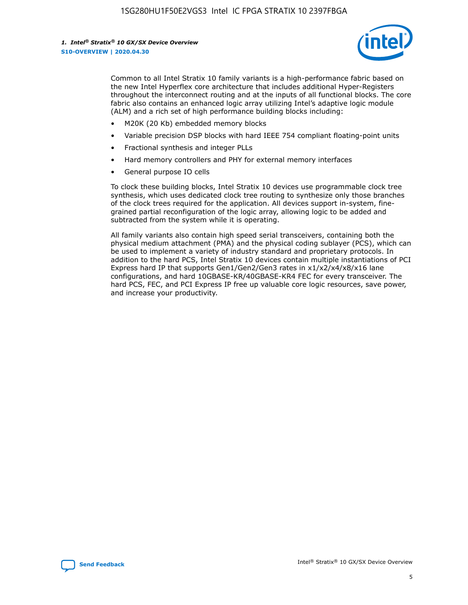

Common to all Intel Stratix 10 family variants is a high-performance fabric based on the new Intel Hyperflex core architecture that includes additional Hyper-Registers throughout the interconnect routing and at the inputs of all functional blocks. The core fabric also contains an enhanced logic array utilizing Intel's adaptive logic module (ALM) and a rich set of high performance building blocks including:

- M20K (20 Kb) embedded memory blocks
- Variable precision DSP blocks with hard IEEE 754 compliant floating-point units
- Fractional synthesis and integer PLLs
- Hard memory controllers and PHY for external memory interfaces
- General purpose IO cells

To clock these building blocks, Intel Stratix 10 devices use programmable clock tree synthesis, which uses dedicated clock tree routing to synthesize only those branches of the clock trees required for the application. All devices support in-system, finegrained partial reconfiguration of the logic array, allowing logic to be added and subtracted from the system while it is operating.

All family variants also contain high speed serial transceivers, containing both the physical medium attachment (PMA) and the physical coding sublayer (PCS), which can be used to implement a variety of industry standard and proprietary protocols. In addition to the hard PCS, Intel Stratix 10 devices contain multiple instantiations of PCI Express hard IP that supports Gen1/Gen2/Gen3 rates in x1/x2/x4/x8/x16 lane configurations, and hard 10GBASE-KR/40GBASE-KR4 FEC for every transceiver. The hard PCS, FEC, and PCI Express IP free up valuable core logic resources, save power, and increase your productivity.

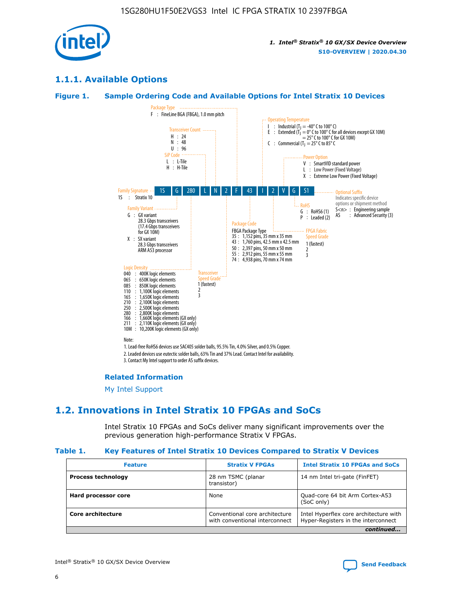

## **1.1.1. Available Options**

### **Figure 1. Sample Ordering Code and Available Options for Intel Stratix 10 Devices**



3. Contact My Intel support to order AS suffix devices.

#### **Related Information**

[My Intel Support](https://www.intel.com/content/www/us/en/programmable/my-intel/mal-home.html)

## **1.2. Innovations in Intel Stratix 10 FPGAs and SoCs**

Intel Stratix 10 FPGAs and SoCs deliver many significant improvements over the previous generation high-performance Stratix V FPGAs.

#### **Table 1. Key Features of Intel Stratix 10 Devices Compared to Stratix V Devices**

| <b>Feature</b>            | <b>Stratix V FPGAs</b>                                           | <b>Intel Stratix 10 FPGAs and SoCs</b>                                        |
|---------------------------|------------------------------------------------------------------|-------------------------------------------------------------------------------|
| <b>Process technology</b> | 28 nm TSMC (planar<br>transistor)                                | 14 nm Intel tri-gate (FinFET)                                                 |
| Hard processor core       | None                                                             | Quad-core 64 bit Arm Cortex-A53<br>(SoC only)                                 |
| Core architecture         | Conventional core architecture<br>with conventional interconnect | Intel Hyperflex core architecture with<br>Hyper-Registers in the interconnect |
|                           |                                                                  | continued                                                                     |

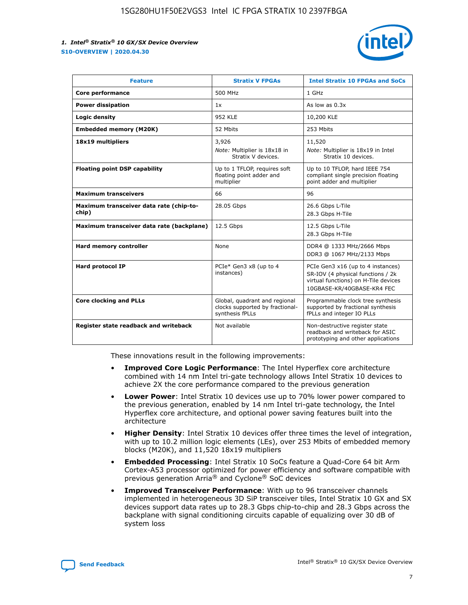

| <b>Feature</b>                                   | <b>Stratix V FPGAs</b>                                                              | <b>Intel Stratix 10 FPGAs and SoCs</b>                                                                                                       |
|--------------------------------------------------|-------------------------------------------------------------------------------------|----------------------------------------------------------------------------------------------------------------------------------------------|
| Core performance                                 | 500 MHz                                                                             | 1 GHz                                                                                                                                        |
| <b>Power dissipation</b>                         | 1x                                                                                  | As low as $0.3x$                                                                                                                             |
| Logic density                                    | <b>952 KLE</b>                                                                      | 10,200 KLE                                                                                                                                   |
| <b>Embedded memory (M20K)</b>                    | 52 Mbits                                                                            | 253 Mbits                                                                                                                                    |
| 18x19 multipliers                                | 3,926                                                                               | 11,520                                                                                                                                       |
|                                                  | Note: Multiplier is 18x18 in<br>Stratix V devices.                                  | Note: Multiplier is 18x19 in Intel<br>Stratix 10 devices.                                                                                    |
| <b>Floating point DSP capability</b>             | Up to 1 TFLOP, requires soft<br>floating point adder and<br>multiplier              | Up to 10 TFLOP, hard IEEE 754<br>compliant single precision floating<br>point adder and multiplier                                           |
| <b>Maximum transceivers</b>                      | 66                                                                                  | 96                                                                                                                                           |
| Maximum transceiver data rate (chip-to-<br>chip) | 28.05 Gbps                                                                          | 26.6 Gbps L-Tile<br>28.3 Gbps H-Tile                                                                                                         |
| Maximum transceiver data rate (backplane)        | 12.5 Gbps                                                                           | 12.5 Gbps L-Tile<br>28.3 Gbps H-Tile                                                                                                         |
| <b>Hard memory controller</b>                    | None                                                                                | DDR4 @ 1333 MHz/2666 Mbps<br>DDR3 @ 1067 MHz/2133 Mbps                                                                                       |
| <b>Hard protocol IP</b>                          | PCIe* Gen3 x8 (up to 4<br>instances)                                                | PCIe Gen3 x16 (up to 4 instances)<br>SR-IOV (4 physical functions / 2k<br>virtual functions) on H-Tile devices<br>10GBASE-KR/40GBASE-KR4 FEC |
| <b>Core clocking and PLLs</b>                    | Global, quadrant and regional<br>clocks supported by fractional-<br>synthesis fPLLs | Programmable clock tree synthesis<br>supported by fractional synthesis<br>fPLLs and integer IO PLLs                                          |
| Register state readback and writeback            | Not available                                                                       | Non-destructive register state<br>readback and writeback for ASIC<br>prototyping and other applications                                      |

These innovations result in the following improvements:

- **Improved Core Logic Performance**: The Intel Hyperflex core architecture combined with 14 nm Intel tri-gate technology allows Intel Stratix 10 devices to achieve 2X the core performance compared to the previous generation
- **Lower Power**: Intel Stratix 10 devices use up to 70% lower power compared to the previous generation, enabled by 14 nm Intel tri-gate technology, the Intel Hyperflex core architecture, and optional power saving features built into the architecture
- **Higher Density**: Intel Stratix 10 devices offer three times the level of integration, with up to 10.2 million logic elements (LEs), over 253 Mbits of embedded memory blocks (M20K), and 11,520 18x19 multipliers
- **Embedded Processing**: Intel Stratix 10 SoCs feature a Quad-Core 64 bit Arm Cortex-A53 processor optimized for power efficiency and software compatible with previous generation Arria® and Cyclone® SoC devices
- **Improved Transceiver Performance**: With up to 96 transceiver channels implemented in heterogeneous 3D SiP transceiver tiles, Intel Stratix 10 GX and SX devices support data rates up to 28.3 Gbps chip-to-chip and 28.3 Gbps across the backplane with signal conditioning circuits capable of equalizing over 30 dB of system loss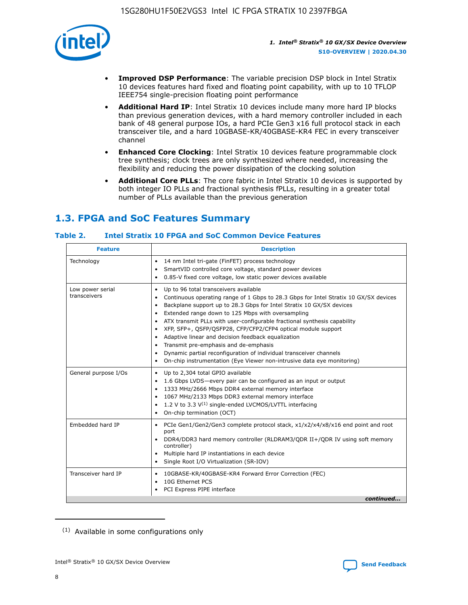

- **Improved DSP Performance**: The variable precision DSP block in Intel Stratix 10 devices features hard fixed and floating point capability, with up to 10 TFLOP IEEE754 single-precision floating point performance
- **Additional Hard IP**: Intel Stratix 10 devices include many more hard IP blocks than previous generation devices, with a hard memory controller included in each bank of 48 general purpose IOs, a hard PCIe Gen3 x16 full protocol stack in each transceiver tile, and a hard 10GBASE-KR/40GBASE-KR4 FEC in every transceiver channel
- **Enhanced Core Clocking**: Intel Stratix 10 devices feature programmable clock tree synthesis; clock trees are only synthesized where needed, increasing the flexibility and reducing the power dissipation of the clocking solution
- **Additional Core PLLs**: The core fabric in Intel Stratix 10 devices is supported by both integer IO PLLs and fractional synthesis fPLLs, resulting in a greater total number of PLLs available than the previous generation

## **1.3. FPGA and SoC Features Summary**

## **Table 2. Intel Stratix 10 FPGA and SoC Common Device Features**

| <b>Feature</b>                   | <b>Description</b>                                                                                                                                                                                                                                                                                                                                                                                                                                                                                                                                                                                                                                                                                                         |  |  |
|----------------------------------|----------------------------------------------------------------------------------------------------------------------------------------------------------------------------------------------------------------------------------------------------------------------------------------------------------------------------------------------------------------------------------------------------------------------------------------------------------------------------------------------------------------------------------------------------------------------------------------------------------------------------------------------------------------------------------------------------------------------------|--|--|
| Technology                       | 14 nm Intel tri-gate (FinFET) process technology<br>$\bullet$<br>SmartVID controlled core voltage, standard power devices<br>0.85-V fixed core voltage, low static power devices available<br>$\bullet$                                                                                                                                                                                                                                                                                                                                                                                                                                                                                                                    |  |  |
| Low power serial<br>transceivers | Up to 96 total transceivers available<br>$\bullet$<br>Continuous operating range of 1 Gbps to 28.3 Gbps for Intel Stratix 10 GX/SX devices<br>Backplane support up to 28.3 Gbps for Intel Stratix 10 GX/SX devices<br>$\bullet$<br>Extended range down to 125 Mbps with oversampling<br>ATX transmit PLLs with user-configurable fractional synthesis capability<br>$\bullet$<br>• XFP, SFP+, QSFP/QSFP28, CFP/CFP2/CFP4 optical module support<br>• Adaptive linear and decision feedback equalization<br>Transmit pre-emphasis and de-emphasis<br>Dynamic partial reconfiguration of individual transceiver channels<br>$\bullet$<br>On-chip instrumentation (Eye Viewer non-intrusive data eye monitoring)<br>$\bullet$ |  |  |
| General purpose I/Os             | Up to 2,304 total GPIO available<br>$\bullet$<br>1.6 Gbps LVDS-every pair can be configured as an input or output<br>$\bullet$<br>1333 MHz/2666 Mbps DDR4 external memory interface<br>1067 MHz/2133 Mbps DDR3 external memory interface<br>• 1.2 V to 3.3 $V^{(1)}$ single-ended LVCMOS/LVTTL interfacing<br>On-chip termination (OCT)<br>$\bullet$                                                                                                                                                                                                                                                                                                                                                                       |  |  |
| Embedded hard IP                 | PCIe Gen1/Gen2/Gen3 complete protocol stack, x1/x2/x4/x8/x16 end point and root<br>$\bullet$<br>port<br>DDR4/DDR3 hard memory controller (RLDRAM3/QDR II+/QDR IV using soft memory<br>controller)<br>• Multiple hard IP instantiations in each device<br>• Single Root I/O Virtualization (SR-IOV)                                                                                                                                                                                                                                                                                                                                                                                                                         |  |  |
| Transceiver hard IP              | 10GBASE-KR/40GBASE-KR4 Forward Error Correction (FEC)<br>$\bullet$<br>10G Ethernet PCS<br>$\bullet$<br>PCI Express PIPE interface<br>$\bullet$<br>continued                                                                                                                                                                                                                                                                                                                                                                                                                                                                                                                                                                |  |  |

<sup>(1)</sup> Available in some configurations only

8

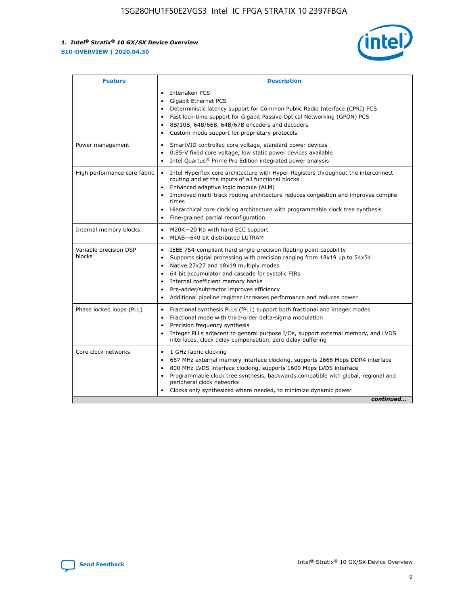

| <b>Feature</b>                   | <b>Description</b>                                                                                                                                                                                                                                                                                                                                                                                                                                                    |
|----------------------------------|-----------------------------------------------------------------------------------------------------------------------------------------------------------------------------------------------------------------------------------------------------------------------------------------------------------------------------------------------------------------------------------------------------------------------------------------------------------------------|
|                                  | Interlaken PCS<br>$\bullet$<br>Gigabit Ethernet PCS<br>$\bullet$<br>Deterministic latency support for Common Public Radio Interface (CPRI) PCS<br>$\bullet$<br>Fast lock-time support for Gigabit Passive Optical Networking (GPON) PCS<br>$\bullet$<br>8B/10B, 64B/66B, 64B/67B encoders and decoders<br>$\bullet$<br>Custom mode support for proprietary protocols<br>$\bullet$                                                                                     |
| Power management                 | SmartVID controlled core voltage, standard power devices<br>$\bullet$<br>0.85-V fixed core voltage, low static power devices available<br>$\bullet$<br>Intel Quartus <sup>®</sup> Prime Pro Edition integrated power analysis<br>٠                                                                                                                                                                                                                                    |
| High performance core fabric     | Intel Hyperflex core architecture with Hyper-Registers throughout the interconnect<br>$\bullet$<br>routing and at the inputs of all functional blocks<br>Enhanced adaptive logic module (ALM)<br>$\bullet$<br>Improved multi-track routing architecture reduces congestion and improves compile<br>times<br>Hierarchical core clocking architecture with programmable clock tree synthesis<br>Fine-grained partial reconfiguration                                    |
| Internal memory blocks           | M20K-20 Kb with hard ECC support<br>٠<br>MLAB-640 bit distributed LUTRAM<br>$\bullet$                                                                                                                                                                                                                                                                                                                                                                                 |
| Variable precision DSP<br>blocks | IEEE 754-compliant hard single-precision floating point capability<br>$\bullet$<br>Supports signal processing with precision ranging from 18x19 up to 54x54<br>$\bullet$<br>Native 27x27 and 18x19 multiply modes<br>$\bullet$<br>64 bit accumulator and cascade for systolic FIRs<br>Internal coefficient memory banks<br>Pre-adder/subtractor improves efficiency<br>$\bullet$<br>Additional pipeline register increases performance and reduces power<br>$\bullet$ |
| Phase locked loops (PLL)         | Fractional synthesis PLLs (fPLL) support both fractional and integer modes<br>$\bullet$<br>Fractional mode with third-order delta-sigma modulation<br>Precision frequency synthesis<br>$\bullet$<br>Integer PLLs adjacent to general purpose I/Os, support external memory, and LVDS<br>$\bullet$<br>interfaces, clock delay compensation, zero delay buffering                                                                                                       |
| Core clock networks              | 1 GHz fabric clocking<br>$\bullet$<br>667 MHz external memory interface clocking, supports 2666 Mbps DDR4 interface<br>$\bullet$<br>800 MHz LVDS interface clocking, supports 1600 Mbps LVDS interface<br>$\bullet$<br>Programmable clock tree synthesis, backwards compatible with global, regional and<br>$\bullet$<br>peripheral clock networks<br>Clocks only synthesized where needed, to minimize dynamic power<br>continued                                    |

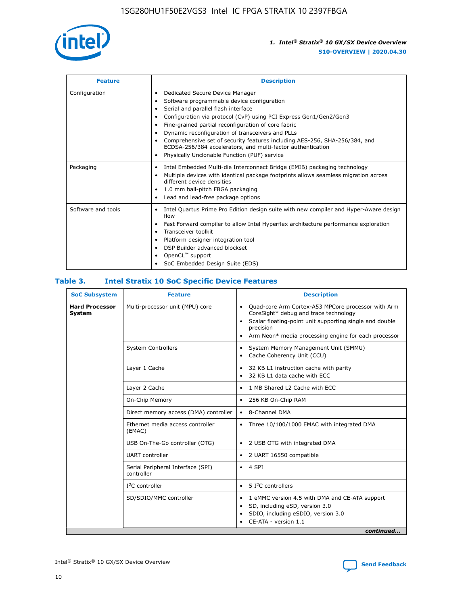

| <b>Feature</b>     | <b>Description</b>                                                                                                                                                                                                                                                                                                                                                                                                                                                                                                                         |
|--------------------|--------------------------------------------------------------------------------------------------------------------------------------------------------------------------------------------------------------------------------------------------------------------------------------------------------------------------------------------------------------------------------------------------------------------------------------------------------------------------------------------------------------------------------------------|
| Configuration      | Dedicated Secure Device Manager<br>٠<br>Software programmable device configuration<br>Serial and parallel flash interface<br>Configuration via protocol (CvP) using PCI Express Gen1/Gen2/Gen3<br>٠<br>Fine-grained partial reconfiguration of core fabric<br>٠<br>Dynamic reconfiguration of transceivers and PLLs<br>$\bullet$<br>Comprehensive set of security features including AES-256, SHA-256/384, and<br>ECDSA-256/384 accelerators, and multi-factor authentication<br>Physically Unclonable Function (PUF) service<br>$\bullet$ |
| Packaging          | Intel Embedded Multi-die Interconnect Bridge (EMIB) packaging technology<br>٠<br>Multiple devices with identical package footprints allows seamless migration across<br>$\bullet$<br>different device densities<br>1.0 mm ball-pitch FBGA packaging<br>$\bullet$<br>Lead and lead-free package options                                                                                                                                                                                                                                     |
| Software and tools | Intel Quartus Prime Pro Edition design suite with new compiler and Hyper-Aware design<br>$\bullet$<br>flow<br>Fast Forward compiler to allow Intel Hyperflex architecture performance exploration<br>$\bullet$<br>Transceiver toolkit<br>$\bullet$<br>Platform designer integration tool<br>DSP Builder advanced blockset<br>OpenCL <sup>™</sup> support<br>SoC Embedded Design Suite (EDS)                                                                                                                                                |

## **Table 3. Intel Stratix 10 SoC Specific Device Features**

| <b>SoC Subsystem</b><br><b>Feature</b> |                                                 | <b>Description</b>                                                                                                                                                                                                                                                 |  |  |  |
|----------------------------------------|-------------------------------------------------|--------------------------------------------------------------------------------------------------------------------------------------------------------------------------------------------------------------------------------------------------------------------|--|--|--|
| <b>Hard Processor</b><br><b>System</b> | Multi-processor unit (MPU) core                 | Quad-core Arm Cortex-A53 MPCore processor with Arm<br>$\bullet$<br>CoreSight* debug and trace technology<br>Scalar floating-point unit supporting single and double<br>$\bullet$<br>precision<br>Arm Neon* media processing engine for each processor<br>$\bullet$ |  |  |  |
|                                        | <b>System Controllers</b>                       | System Memory Management Unit (SMMU)<br>$\bullet$<br>Cache Coherency Unit (CCU)<br>$\bullet$                                                                                                                                                                       |  |  |  |
|                                        | Layer 1 Cache                                   | 32 KB L1 instruction cache with parity<br>٠<br>32 KB L1 data cache with ECC<br>$\bullet$                                                                                                                                                                           |  |  |  |
|                                        | Layer 2 Cache                                   | 1 MB Shared L2 Cache with ECC<br>$\bullet$                                                                                                                                                                                                                         |  |  |  |
|                                        | On-Chip Memory                                  | 256 KB On-Chip RAM<br>$\bullet$                                                                                                                                                                                                                                    |  |  |  |
|                                        | Direct memory access (DMA) controller           | • 8-Channel DMA                                                                                                                                                                                                                                                    |  |  |  |
|                                        | Ethernet media access controller<br>(EMAC)      | Three 10/100/1000 EMAC with integrated DMA<br>$\bullet$                                                                                                                                                                                                            |  |  |  |
|                                        | USB On-The-Go controller (OTG)                  | 2 USB OTG with integrated DMA<br>$\bullet$                                                                                                                                                                                                                         |  |  |  |
|                                        | <b>UART</b> controller                          | 2 UART 16550 compatible<br>$\bullet$                                                                                                                                                                                                                               |  |  |  |
|                                        | Serial Peripheral Interface (SPI)<br>controller | $\bullet$ 4 SPI                                                                                                                                                                                                                                                    |  |  |  |
|                                        | $I2C$ controller                                | 5 <sup>2</sup> C controllers<br>$\bullet$                                                                                                                                                                                                                          |  |  |  |
|                                        | SD/SDIO/MMC controller                          | 1 eMMC version 4.5 with DMA and CE-ATA support<br>$\bullet$<br>SD, including eSD, version 3.0<br>٠<br>SDIO, including eSDIO, version 3.0<br>CE-ATA - version 1.1<br>continued                                                                                      |  |  |  |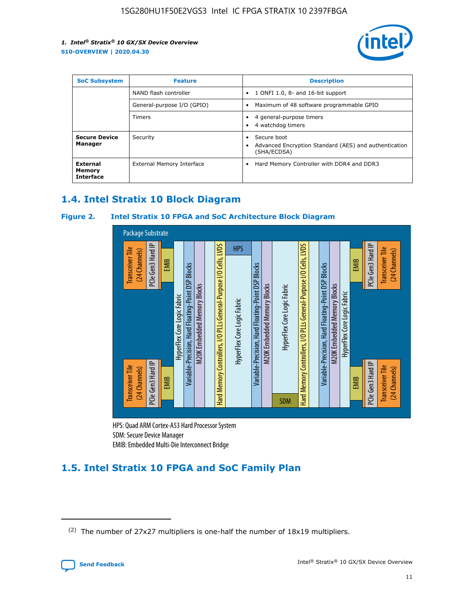

| <b>SoC Subsystem</b>                          | <b>Feature</b>             | <b>Description</b>                                                                  |  |  |
|-----------------------------------------------|----------------------------|-------------------------------------------------------------------------------------|--|--|
|                                               | NAND flash controller      | 1 ONFI 1.0, 8- and 16-bit support<br>$\bullet$                                      |  |  |
|                                               | General-purpose I/O (GPIO) | Maximum of 48 software programmable GPIO<br>$\bullet$                               |  |  |
|                                               | <b>Timers</b>              | 4 general-purpose timers<br>4 watchdog timers                                       |  |  |
| <b>Secure Device</b><br>Manager               | Security                   | Secure boot<br>Advanced Encryption Standard (AES) and authentication<br>(SHA/ECDSA) |  |  |
| <b>External</b><br>Memory<br><b>Interface</b> | External Memory Interface  | Hard Memory Controller with DDR4 and DDR3<br>$\bullet$                              |  |  |

## **1.4. Intel Stratix 10 Block Diagram**

## **Figure 2. Intel Stratix 10 FPGA and SoC Architecture Block Diagram**



HPS: Quad ARM Cortex-A53 Hard Processor System SDM: Secure Device Manager

## **1.5. Intel Stratix 10 FPGA and SoC Family Plan**

<sup>(2)</sup> The number of 27x27 multipliers is one-half the number of 18x19 multipliers.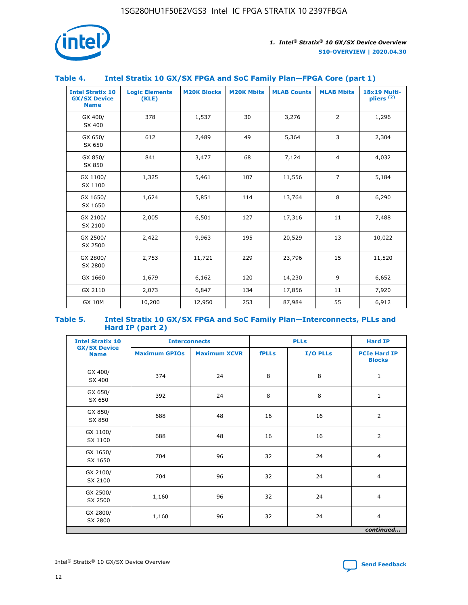

## **Table 4. Intel Stratix 10 GX/SX FPGA and SoC Family Plan—FPGA Core (part 1)**

| <b>Intel Stratix 10</b><br><b>GX/SX Device</b><br><b>Name</b> | <b>Logic Elements</b><br>(KLE) | <b>M20K Blocks</b> | <b>M20K Mbits</b> | <b>MLAB Counts</b> | <b>MLAB Mbits</b> | 18x19 Multi-<br>pliers <sup>(2)</sup> |
|---------------------------------------------------------------|--------------------------------|--------------------|-------------------|--------------------|-------------------|---------------------------------------|
| GX 400/<br>SX 400                                             | 378                            | 1,537              | 30                | 3,276              | $\overline{2}$    | 1,296                                 |
| GX 650/<br>SX 650                                             | 612                            | 2,489              | 49                | 5,364              | 3                 | 2,304                                 |
| GX 850/<br>SX 850                                             | 841                            | 3,477              | 68                | 7,124              | $\overline{4}$    | 4,032                                 |
| GX 1100/<br>SX 1100                                           | 1,325                          | 5,461              | 107               | 11,556             | $\overline{7}$    | 5,184                                 |
| GX 1650/<br>SX 1650                                           | 1,624                          | 5,851              | 114               | 13,764             | 8                 | 6,290                                 |
| GX 2100/<br>SX 2100                                           | 2,005                          | 6,501              | 127               | 17,316             | 11                | 7,488                                 |
| GX 2500/<br>SX 2500                                           | 2,422                          | 9,963              | 195               | 20,529             | 13                | 10,022                                |
| GX 2800/<br>SX 2800                                           | 2,753                          | 11,721             | 229               | 23,796             | 15                | 11,520                                |
| GX 1660                                                       | 1,679                          | 6,162              | 120               | 14,230             | 9                 | 6,652                                 |
| GX 2110                                                       | 2,073                          | 6,847              | 134               | 17,856             | 11                | 7,920                                 |
| <b>GX 10M</b>                                                 | 10,200                         | 12,950             | 253               | 87,984             | 55                | 6,912                                 |

#### **Table 5. Intel Stratix 10 GX/SX FPGA and SoC Family Plan—Interconnects, PLLs and Hard IP (part 2)**

| <b>Intel Stratix 10</b>            |                      | <b>PLLs</b><br><b>Interconnects</b> |              |          |                                      |  |
|------------------------------------|----------------------|-------------------------------------|--------------|----------|--------------------------------------|--|
| <b>GX/SX Device</b><br><b>Name</b> | <b>Maximum GPIOs</b> | <b>Maximum XCVR</b>                 | <b>fPLLs</b> | I/O PLLs | <b>PCIe Hard IP</b><br><b>Blocks</b> |  |
| GX 400/<br>SX 400                  | 374                  | 24                                  | 8            | 8        | $\mathbf{1}$                         |  |
| GX 650/<br>SX 650                  | 392                  | 24                                  | 8            | 8        | $\mathbf{1}$                         |  |
| GX 850/<br>SX 850                  | 688                  | 48                                  | 16           | 16       | 2                                    |  |
| GX 1100/<br>SX 1100                | 688                  | 48                                  | 16           | 16       | 2                                    |  |
| GX 1650/<br>SX 1650                | 704                  | 96                                  | 32           | 24       | $\overline{4}$                       |  |
| GX 2100/<br>SX 2100                | 704                  | 96                                  | 32           | 24       | 4                                    |  |
| GX 2500/<br>SX 2500                | 1,160                | 96                                  | 32           | 24       | $\overline{4}$                       |  |
| GX 2800/<br>SX 2800                | 1,160                | 96                                  | 32           | 24       | $\overline{4}$                       |  |
| continued                          |                      |                                     |              |          |                                      |  |

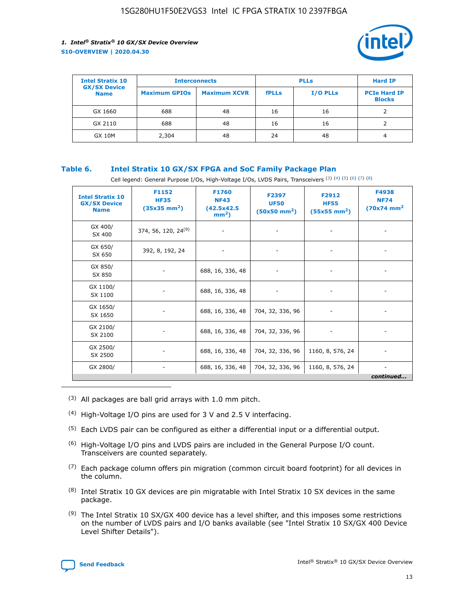

| <b>Intel Stratix 10</b>            | <b>Interconnects</b> |                     | <b>PLLs</b>  |                 | <b>Hard IP</b>                       |
|------------------------------------|----------------------|---------------------|--------------|-----------------|--------------------------------------|
| <b>GX/SX Device</b><br><b>Name</b> | <b>Maximum GPIOs</b> | <b>Maximum XCVR</b> | <b>fPLLs</b> | <b>I/O PLLs</b> | <b>PCIe Hard IP</b><br><b>Blocks</b> |
| GX 1660                            | 688                  | 48                  | 16           | 16              |                                      |
| GX 2110                            | 688                  | 48                  | 16           | 16              |                                      |
| <b>GX 10M</b>                      | 2,304                | 48                  | 24           | 48              | 4                                    |

## **Table 6. Intel Stratix 10 GX/SX FPGA and SoC Family Package Plan**

Cell legend: General Purpose I/Os, High-Voltage I/Os, LVDS Pairs, Transceivers (3) (4) (5) (6) (7) (8)

| <b>Intel Stratix 10</b><br><b>GX/SX Device</b><br><b>Name</b> | F1152<br><b>HF35</b><br>$(35x35 \text{ mm}^2)$ | F1760<br><b>NF43</b><br>(42.5x42.5<br>$mm2$ ) | F2397<br><b>UF50</b><br>$(50x50 \text{ mm}^2)$ | F2912<br><b>HF55</b><br>$(55x55$ mm <sup>2</sup> ) | F4938<br><b>NF74</b><br>$(70x74)$ mm <sup>2</sup> |
|---------------------------------------------------------------|------------------------------------------------|-----------------------------------------------|------------------------------------------------|----------------------------------------------------|---------------------------------------------------|
| GX 400/<br>SX 400                                             | 374, 56, 120, 24 <sup>(9)</sup>                | $\overline{\phantom{a}}$                      | $\overline{\phantom{a}}$                       | ۰                                                  |                                                   |
| GX 650/<br>SX 650                                             | 392, 8, 192, 24                                | $\overline{\phantom{a}}$                      | $\overline{\phantom{a}}$                       |                                                    |                                                   |
| GX 850/<br>SX 850                                             | ۰.                                             | 688, 16, 336, 48                              |                                                |                                                    |                                                   |
| GX 1100/<br>SX 1100                                           |                                                | 688, 16, 336, 48                              |                                                |                                                    |                                                   |
| GX 1650/<br>SX 1650                                           |                                                | 688, 16, 336, 48                              | 704, 32, 336, 96                               |                                                    |                                                   |
| GX 2100/<br>SX 2100                                           | -                                              | 688, 16, 336, 48                              | 704, 32, 336, 96                               | $\overline{\phantom{a}}$                           |                                                   |
| GX 2500/<br>SX 2500                                           |                                                | 688, 16, 336, 48                              | 704, 32, 336, 96                               | 1160, 8, 576, 24                                   |                                                   |
| GX 2800/                                                      | -                                              | 688, 16, 336, 48                              | 704, 32, 336, 96                               | 1160, 8, 576, 24                                   | $\overline{\phantom{a}}$<br>continued             |

- (3) All packages are ball grid arrays with 1.0 mm pitch.
- (4) High-Voltage I/O pins are used for 3 V and 2.5 V interfacing.
- $(5)$  Each LVDS pair can be configured as either a differential input or a differential output.
- (6) High-Voltage I/O pins and LVDS pairs are included in the General Purpose I/O count. Transceivers are counted separately.
- $(7)$  Each package column offers pin migration (common circuit board footprint) for all devices in the column.
- $(8)$  Intel Stratix 10 GX devices are pin migratable with Intel Stratix 10 SX devices in the same package.
- $(9)$  The Intel Stratix 10 SX/GX 400 device has a level shifter, and this imposes some restrictions on the number of LVDS pairs and I/O banks available (see "Intel Stratix 10 SX/GX 400 Device Level Shifter Details").

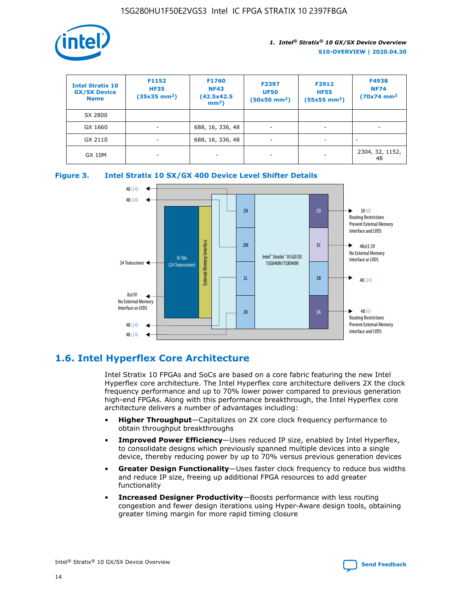

| <b>Intel Stratix 10</b><br><b>GX/SX Device</b><br><b>Name</b> | F1152<br><b>HF35</b><br>$(35x35)$ mm <sup>2</sup> ) | F1760<br><b>NF43</b><br>(42.5x42.5<br>$mm2$ ) | F2397<br><b>UF50</b><br>$(50x50 \text{ mm}^2)$ | F2912<br><b>HF55</b><br>$(55x55$ mm <sup>2</sup> ) | F4938<br><b>NF74</b><br>$(70x74)$ mm <sup>2</sup> |
|---------------------------------------------------------------|-----------------------------------------------------|-----------------------------------------------|------------------------------------------------|----------------------------------------------------|---------------------------------------------------|
| SX 2800                                                       |                                                     |                                               |                                                |                                                    |                                                   |
| GX 1660                                                       | -                                                   | 688, 16, 336, 48                              | $\overline{\phantom{a}}$                       |                                                    |                                                   |
| GX 2110                                                       |                                                     | 688, 16, 336, 48                              | $\overline{\phantom{a}}$                       |                                                    |                                                   |
| <b>GX 10M</b>                                                 | ۰                                                   |                                               |                                                |                                                    | 2304, 32, 1152,<br>48                             |





## **1.6. Intel Hyperflex Core Architecture**

Intel Stratix 10 FPGAs and SoCs are based on a core fabric featuring the new Intel Hyperflex core architecture. The Intel Hyperflex core architecture delivers 2X the clock frequency performance and up to 70% lower power compared to previous generation high-end FPGAs. Along with this performance breakthrough, the Intel Hyperflex core architecture delivers a number of advantages including:

- **Higher Throughput**—Capitalizes on 2X core clock frequency performance to obtain throughput breakthroughs
- **Improved Power Efficiency**—Uses reduced IP size, enabled by Intel Hyperflex, to consolidate designs which previously spanned multiple devices into a single device, thereby reducing power by up to 70% versus previous generation devices
- **Greater Design Functionality**—Uses faster clock frequency to reduce bus widths and reduce IP size, freeing up additional FPGA resources to add greater functionality
- **Increased Designer Productivity**—Boosts performance with less routing congestion and fewer design iterations using Hyper-Aware design tools, obtaining greater timing margin for more rapid timing closure

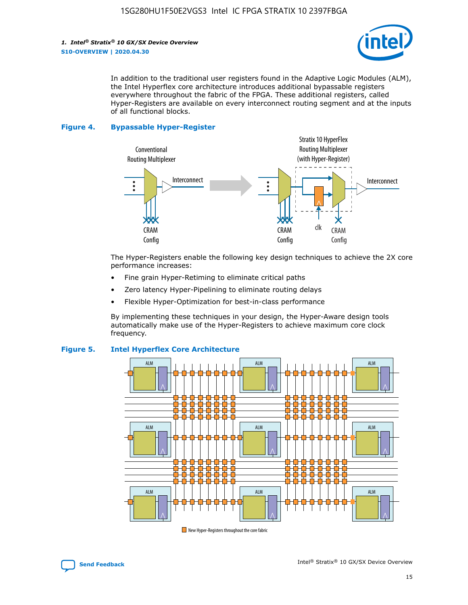

In addition to the traditional user registers found in the Adaptive Logic Modules (ALM), the Intel Hyperflex core architecture introduces additional bypassable registers everywhere throughout the fabric of the FPGA. These additional registers, called Hyper-Registers are available on every interconnect routing segment and at the inputs of all functional blocks.

#### **Figure 4. Bypassable Hyper-Register**



The Hyper-Registers enable the following key design techniques to achieve the 2X core performance increases:

- Fine grain Hyper-Retiming to eliminate critical paths
- Zero latency Hyper-Pipelining to eliminate routing delays
- Flexible Hyper-Optimization for best-in-class performance

By implementing these techniques in your design, the Hyper-Aware design tools automatically make use of the Hyper-Registers to achieve maximum core clock frequency.



## **Figure 5. Intel Hyperflex Core Architecture**

New Hyper-Registers throughout the core fabric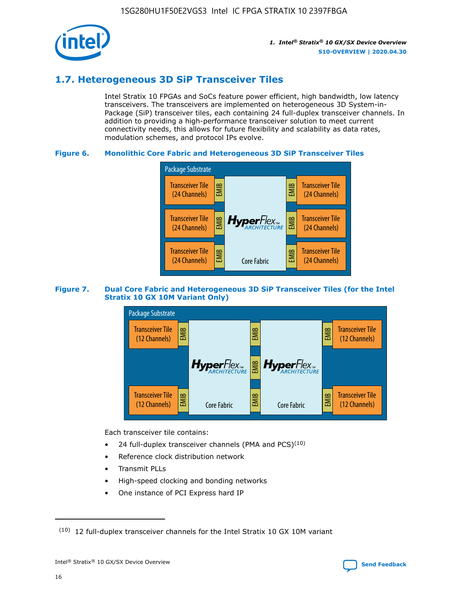

## **1.7. Heterogeneous 3D SiP Transceiver Tiles**

Intel Stratix 10 FPGAs and SoCs feature power efficient, high bandwidth, low latency transceivers. The transceivers are implemented on heterogeneous 3D System-in-Package (SiP) transceiver tiles, each containing 24 full-duplex transceiver channels. In addition to providing a high-performance transceiver solution to meet current connectivity needs, this allows for future flexibility and scalability as data rates, modulation schemes, and protocol IPs evolve.

## **Figure 6. Monolithic Core Fabric and Heterogeneous 3D SiP Transceiver Tiles**



## **Figure 7. Dual Core Fabric and Heterogeneous 3D SiP Transceiver Tiles (for the Intel Stratix 10 GX 10M Variant Only)**

![](_page_16_Figure_8.jpeg)

Each transceiver tile contains:

- 24 full-duplex transceiver channels (PMA and PCS) $(10)$
- Reference clock distribution network
- Transmit PLLs
- High-speed clocking and bonding networks
- One instance of PCI Express hard IP

16

 $(10)$  12 full-duplex transceiver channels for the Intel Stratix 10 GX 10M variant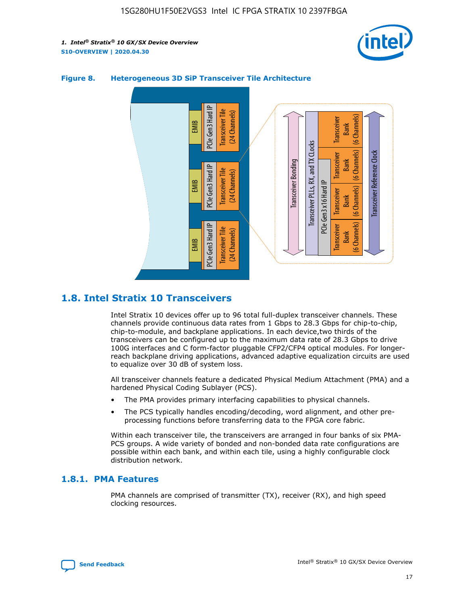![](_page_17_Picture_2.jpeg)

![](_page_17_Figure_3.jpeg)

## **Figure 8. Heterogeneous 3D SiP Transceiver Tile Architecture**

## **1.8. Intel Stratix 10 Transceivers**

Intel Stratix 10 devices offer up to 96 total full-duplex transceiver channels. These channels provide continuous data rates from 1 Gbps to 28.3 Gbps for chip-to-chip, chip-to-module, and backplane applications. In each device,two thirds of the transceivers can be configured up to the maximum data rate of 28.3 Gbps to drive 100G interfaces and C form-factor pluggable CFP2/CFP4 optical modules. For longerreach backplane driving applications, advanced adaptive equalization circuits are used to equalize over 30 dB of system loss.

All transceiver channels feature a dedicated Physical Medium Attachment (PMA) and a hardened Physical Coding Sublayer (PCS).

- The PMA provides primary interfacing capabilities to physical channels.
- The PCS typically handles encoding/decoding, word alignment, and other preprocessing functions before transferring data to the FPGA core fabric.

Within each transceiver tile, the transceivers are arranged in four banks of six PMA-PCS groups. A wide variety of bonded and non-bonded data rate configurations are possible within each bank, and within each tile, using a highly configurable clock distribution network.

## **1.8.1. PMA Features**

PMA channels are comprised of transmitter (TX), receiver (RX), and high speed clocking resources.

![](_page_17_Picture_13.jpeg)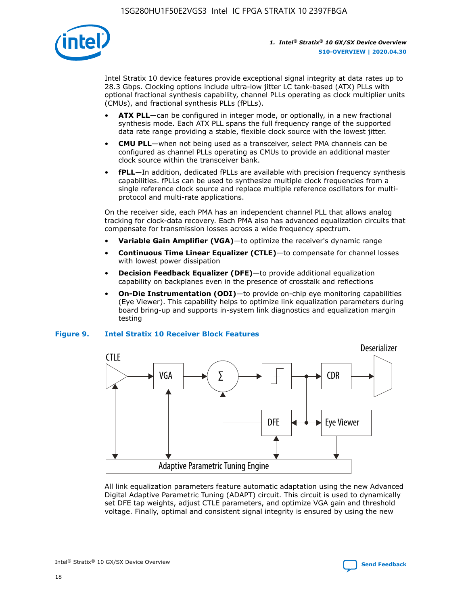![](_page_18_Picture_1.jpeg)

Intel Stratix 10 device features provide exceptional signal integrity at data rates up to 28.3 Gbps. Clocking options include ultra-low jitter LC tank-based (ATX) PLLs with optional fractional synthesis capability, channel PLLs operating as clock multiplier units (CMUs), and fractional synthesis PLLs (fPLLs).

- **ATX PLL**—can be configured in integer mode, or optionally, in a new fractional synthesis mode. Each ATX PLL spans the full frequency range of the supported data rate range providing a stable, flexible clock source with the lowest jitter.
- **CMU PLL**—when not being used as a transceiver, select PMA channels can be configured as channel PLLs operating as CMUs to provide an additional master clock source within the transceiver bank.
- **fPLL**—In addition, dedicated fPLLs are available with precision frequency synthesis capabilities. fPLLs can be used to synthesize multiple clock frequencies from a single reference clock source and replace multiple reference oscillators for multiprotocol and multi-rate applications.

On the receiver side, each PMA has an independent channel PLL that allows analog tracking for clock-data recovery. Each PMA also has advanced equalization circuits that compensate for transmission losses across a wide frequency spectrum.

- **Variable Gain Amplifier (VGA)**—to optimize the receiver's dynamic range
- **Continuous Time Linear Equalizer (CTLE)**—to compensate for channel losses with lowest power dissipation
- **Decision Feedback Equalizer (DFE)**—to provide additional equalization capability on backplanes even in the presence of crosstalk and reflections
- **On-Die Instrumentation (ODI)**—to provide on-chip eye monitoring capabilities (Eye Viewer). This capability helps to optimize link equalization parameters during board bring-up and supports in-system link diagnostics and equalization margin testing

#### **Figure 9. Intel Stratix 10 Receiver Block Features**

![](_page_18_Figure_13.jpeg)

All link equalization parameters feature automatic adaptation using the new Advanced Digital Adaptive Parametric Tuning (ADAPT) circuit. This circuit is used to dynamically set DFE tap weights, adjust CTLE parameters, and optimize VGA gain and threshold voltage. Finally, optimal and consistent signal integrity is ensured by using the new

![](_page_18_Picture_15.jpeg)

Intel<sup>®</sup> Stratix<sup>®</sup> 10 GX/SX Device Overview **[Send Feedback](mailto:FPGAtechdocfeedback@intel.com?subject=Feedback%20on%20Intel%20Stratix%2010%20GX/SX%20Device%20Overview%20(S10-OVERVIEW%202020.04.30)&body=We%20appreciate%20your%20feedback.%20In%20your%20comments,%20also%20specify%20the%20page%20number%20or%20paragraph.%20Thank%20you.)** Send Feedback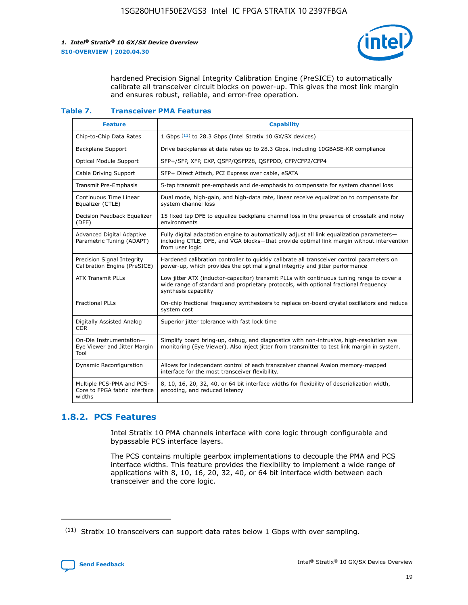![](_page_19_Picture_2.jpeg)

hardened Precision Signal Integrity Calibration Engine (PreSICE) to automatically calibrate all transceiver circuit blocks on power-up. This gives the most link margin and ensures robust, reliable, and error-free operation.

#### **Table 7. Transceiver PMA Features**

| <b>Feature</b>                                                       | <b>Capability</b>                                                                                                                                                                                         |
|----------------------------------------------------------------------|-----------------------------------------------------------------------------------------------------------------------------------------------------------------------------------------------------------|
| Chip-to-Chip Data Rates                                              | 1 Gbps (11) to 28.3 Gbps (Intel Stratix 10 GX/SX devices)                                                                                                                                                 |
| <b>Backplane Support</b>                                             | Drive backplanes at data rates up to 28.3 Gbps, including 10GBASE-KR compliance                                                                                                                           |
| Optical Module Support                                               | SFP+/SFP, XFP, CXP, QSFP/QSFP28, QSFPDD, CFP/CFP2/CFP4                                                                                                                                                    |
| Cable Driving Support                                                | SFP+ Direct Attach, PCI Express over cable, eSATA                                                                                                                                                         |
| <b>Transmit Pre-Emphasis</b>                                         | 5-tap transmit pre-emphasis and de-emphasis to compensate for system channel loss                                                                                                                         |
| Continuous Time Linear<br>Equalizer (CTLE)                           | Dual mode, high-gain, and high-data rate, linear receive equalization to compensate for<br>system channel loss                                                                                            |
| Decision Feedback Equalizer<br>(DFE)                                 | 15 fixed tap DFE to equalize backplane channel loss in the presence of crosstalk and noisy<br>environments                                                                                                |
| Advanced Digital Adaptive<br>Parametric Tuning (ADAPT)               | Fully digital adaptation engine to automatically adjust all link equalization parameters-<br>including CTLE, DFE, and VGA blocks—that provide optimal link margin without intervention<br>from user logic |
| Precision Signal Integrity<br>Calibration Engine (PreSICE)           | Hardened calibration controller to quickly calibrate all transceiver control parameters on<br>power-up, which provides the optimal signal integrity and jitter performance                                |
| <b>ATX Transmit PLLs</b>                                             | Low jitter ATX (inductor-capacitor) transmit PLLs with continuous tuning range to cover a<br>wide range of standard and proprietary protocols, with optional fractional frequency<br>synthesis capability |
| <b>Fractional PLLs</b>                                               | On-chip fractional frequency synthesizers to replace on-board crystal oscillators and reduce<br>system cost                                                                                               |
| Digitally Assisted Analog<br><b>CDR</b>                              | Superior jitter tolerance with fast lock time                                                                                                                                                             |
| On-Die Instrumentation-<br>Eye Viewer and Jitter Margin<br>Tool      | Simplify board bring-up, debug, and diagnostics with non-intrusive, high-resolution eye<br>monitoring (Eye Viewer). Also inject jitter from transmitter to test link margin in system.                    |
| Dynamic Reconfiguration                                              | Allows for independent control of each transceiver channel Avalon memory-mapped<br>interface for the most transceiver flexibility.                                                                        |
| Multiple PCS-PMA and PCS-<br>Core to FPGA fabric interface<br>widths | 8, 10, 16, 20, 32, 40, or 64 bit interface widths for flexibility of deserialization width,<br>encoding, and reduced latency                                                                              |

## **1.8.2. PCS Features**

Intel Stratix 10 PMA channels interface with core logic through configurable and bypassable PCS interface layers.

The PCS contains multiple gearbox implementations to decouple the PMA and PCS interface widths. This feature provides the flexibility to implement a wide range of applications with 8, 10, 16, 20, 32, 40, or 64 bit interface width between each transceiver and the core logic.

 $(11)$  Stratix 10 transceivers can support data rates below 1 Gbps with over sampling.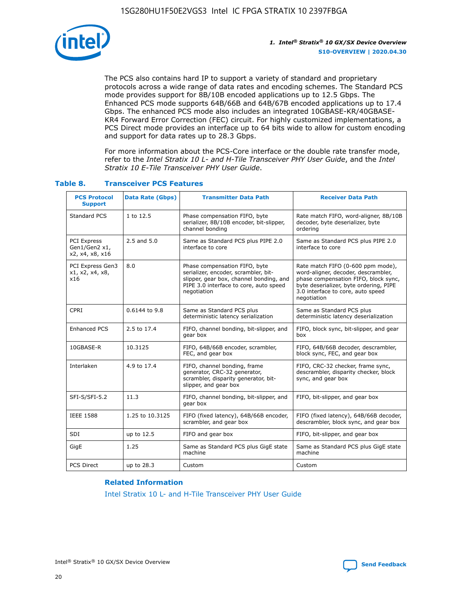![](_page_20_Picture_1.jpeg)

The PCS also contains hard IP to support a variety of standard and proprietary protocols across a wide range of data rates and encoding schemes. The Standard PCS mode provides support for 8B/10B encoded applications up to 12.5 Gbps. The Enhanced PCS mode supports 64B/66B and 64B/67B encoded applications up to 17.4 Gbps. The enhanced PCS mode also includes an integrated 10GBASE-KR/40GBASE-KR4 Forward Error Correction (FEC) circuit. For highly customized implementations, a PCS Direct mode provides an interface up to 64 bits wide to allow for custom encoding and support for data rates up to 28.3 Gbps.

For more information about the PCS-Core interface or the double rate transfer mode, refer to the *Intel Stratix 10 L- and H-Tile Transceiver PHY User Guide*, and the *Intel Stratix 10 E-Tile Transceiver PHY User Guide*.

| <b>PCS Protocol</b><br><b>Support</b>           | <b>Data Rate (Gbps)</b> | <b>Transmitter Data Path</b>                                                                                                                                              | <b>Receiver Data Path</b>                                                                                                                                                                                      |
|-------------------------------------------------|-------------------------|---------------------------------------------------------------------------------------------------------------------------------------------------------------------------|----------------------------------------------------------------------------------------------------------------------------------------------------------------------------------------------------------------|
| Standard PCS                                    | 1 to 12.5               | Phase compensation FIFO, byte<br>serializer, 8B/10B encoder, bit-slipper,<br>channel bonding                                                                              | Rate match FIFO, word-aligner, 8B/10B<br>decoder, byte deserializer, byte<br>ordering                                                                                                                          |
| PCI Express<br>Gen1/Gen2 x1,<br>x2, x4, x8, x16 | $2.5$ and $5.0$         | Same as Standard PCS plus PIPE 2.0<br>interface to core                                                                                                                   | Same as Standard PCS plus PIPE 2.0<br>interface to core                                                                                                                                                        |
| PCI Express Gen3<br>x1, x2, x4, x8,<br>x16      | 8.0                     | Phase compensation FIFO, byte<br>serializer, encoder, scrambler, bit-<br>slipper, gear box, channel bonding, and<br>PIPE 3.0 interface to core, auto speed<br>negotiation | Rate match FIFO (0-600 ppm mode),<br>word-aligner, decoder, descrambler,<br>phase compensation FIFO, block sync,<br>byte deserializer, byte ordering, PIPE<br>3.0 interface to core, auto speed<br>negotiation |
| CPRI                                            | 0.6144 to 9.8           | Same as Standard PCS plus<br>deterministic latency serialization                                                                                                          | Same as Standard PCS plus<br>deterministic latency deserialization                                                                                                                                             |
| <b>Enhanced PCS</b>                             | 2.5 to 17.4             | FIFO, channel bonding, bit-slipper, and<br>gear box                                                                                                                       | FIFO, block sync, bit-slipper, and gear<br>box                                                                                                                                                                 |
| 10GBASE-R                                       | 10.3125                 | FIFO, 64B/66B encoder, scrambler,<br>FEC, and gear box                                                                                                                    | FIFO, 64B/66B decoder, descrambler,<br>block sync, FEC, and gear box                                                                                                                                           |
| Interlaken                                      | 4.9 to 17.4             | FIFO, channel bonding, frame<br>generator, CRC-32 generator,<br>scrambler, disparity generator, bit-<br>slipper, and gear box                                             | FIFO, CRC-32 checker, frame sync,<br>descrambler, disparity checker, block<br>sync, and gear box                                                                                                               |
| SFI-S/SFI-5.2                                   | 11.3                    | FIFO, channel bonding, bit-slipper, and<br>gear box                                                                                                                       | FIFO, bit-slipper, and gear box                                                                                                                                                                                |
| <b>IEEE 1588</b>                                | 1.25 to 10.3125         | FIFO (fixed latency), 64B/66B encoder,<br>scrambler, and gear box                                                                                                         | FIFO (fixed latency), 64B/66B decoder,<br>descrambler, block sync, and gear box                                                                                                                                |
| SDI                                             | up to 12.5              | FIFO and gear box                                                                                                                                                         | FIFO, bit-slipper, and gear box                                                                                                                                                                                |
| GigE                                            | 1.25                    | Same as Standard PCS plus GigE state<br>machine                                                                                                                           | Same as Standard PCS plus GigE state<br>machine                                                                                                                                                                |
| <b>PCS Direct</b>                               | up to 28.3              | Custom                                                                                                                                                                    | Custom                                                                                                                                                                                                         |

## **Table 8. Transceiver PCS Features**

#### **Related Information**

[Intel Stratix 10 L- and H-Tile Transceiver PHY User Guide](https://www.altera.com/documentation/wry1479165198810.html)

![](_page_20_Picture_9.jpeg)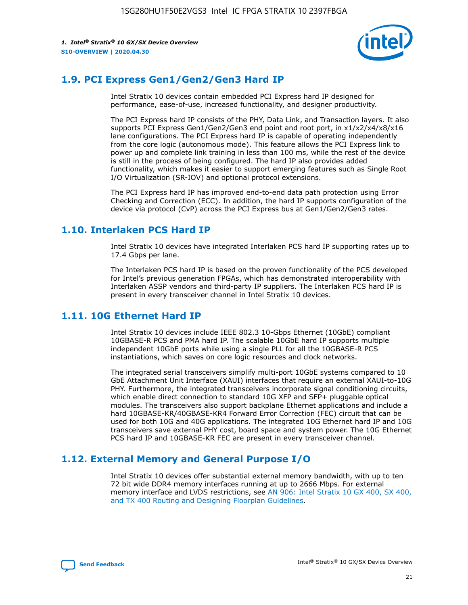![](_page_21_Picture_2.jpeg)

## **1.9. PCI Express Gen1/Gen2/Gen3 Hard IP**

Intel Stratix 10 devices contain embedded PCI Express hard IP designed for performance, ease-of-use, increased functionality, and designer productivity.

The PCI Express hard IP consists of the PHY, Data Link, and Transaction layers. It also supports PCI Express Gen1/Gen2/Gen3 end point and root port, in x1/x2/x4/x8/x16 lane configurations. The PCI Express hard IP is capable of operating independently from the core logic (autonomous mode). This feature allows the PCI Express link to power up and complete link training in less than 100 ms, while the rest of the device is still in the process of being configured. The hard IP also provides added functionality, which makes it easier to support emerging features such as Single Root I/O Virtualization (SR-IOV) and optional protocol extensions.

The PCI Express hard IP has improved end-to-end data path protection using Error Checking and Correction (ECC). In addition, the hard IP supports configuration of the device via protocol (CvP) across the PCI Express bus at Gen1/Gen2/Gen3 rates.

## **1.10. Interlaken PCS Hard IP**

Intel Stratix 10 devices have integrated Interlaken PCS hard IP supporting rates up to 17.4 Gbps per lane.

The Interlaken PCS hard IP is based on the proven functionality of the PCS developed for Intel's previous generation FPGAs, which has demonstrated interoperability with Interlaken ASSP vendors and third-party IP suppliers. The Interlaken PCS hard IP is present in every transceiver channel in Intel Stratix 10 devices.

## **1.11. 10G Ethernet Hard IP**

Intel Stratix 10 devices include IEEE 802.3 10-Gbps Ethernet (10GbE) compliant 10GBASE-R PCS and PMA hard IP. The scalable 10GbE hard IP supports multiple independent 10GbE ports while using a single PLL for all the 10GBASE-R PCS instantiations, which saves on core logic resources and clock networks.

The integrated serial transceivers simplify multi-port 10GbE systems compared to 10 GbE Attachment Unit Interface (XAUI) interfaces that require an external XAUI-to-10G PHY. Furthermore, the integrated transceivers incorporate signal conditioning circuits, which enable direct connection to standard 10G XFP and SFP+ pluggable optical modules. The transceivers also support backplane Ethernet applications and include a hard 10GBASE-KR/40GBASE-KR4 Forward Error Correction (FEC) circuit that can be used for both 10G and 40G applications. The integrated 10G Ethernet hard IP and 10G transceivers save external PHY cost, board space and system power. The 10G Ethernet PCS hard IP and 10GBASE-KR FEC are present in every transceiver channel.

## **1.12. External Memory and General Purpose I/O**

Intel Stratix 10 devices offer substantial external memory bandwidth, with up to ten 72 bit wide DDR4 memory interfaces running at up to 2666 Mbps. For external memory interface and LVDS restrictions, see [AN 906: Intel Stratix 10 GX 400, SX 400,](https://www.intel.com/content/www/us/en/programmable/documentation/sjf1574667190623.html#bft1574667627484) [and TX 400 Routing and Designing Floorplan Guidelines.](https://www.intel.com/content/www/us/en/programmable/documentation/sjf1574667190623.html#bft1574667627484)

![](_page_21_Picture_15.jpeg)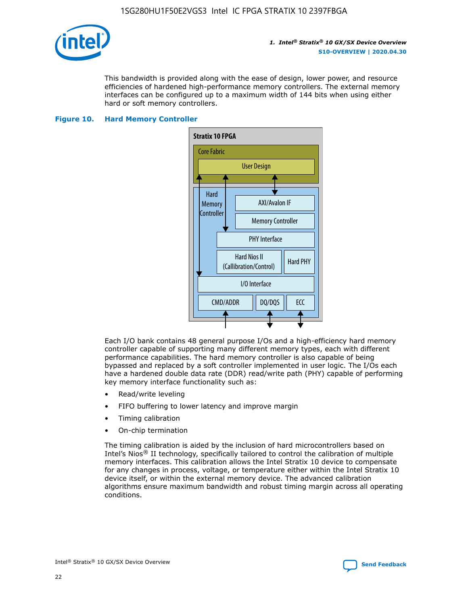![](_page_22_Picture_1.jpeg)

This bandwidth is provided along with the ease of design, lower power, and resource efficiencies of hardened high-performance memory controllers. The external memory interfaces can be configured up to a maximum width of 144 bits when using either hard or soft memory controllers.

#### **Figure 10. Hard Memory Controller**

![](_page_22_Figure_5.jpeg)

Each I/O bank contains 48 general purpose I/Os and a high-efficiency hard memory controller capable of supporting many different memory types, each with different performance capabilities. The hard memory controller is also capable of being bypassed and replaced by a soft controller implemented in user logic. The I/Os each have a hardened double data rate (DDR) read/write path (PHY) capable of performing key memory interface functionality such as:

- Read/write leveling
- FIFO buffering to lower latency and improve margin
- Timing calibration
- On-chip termination

The timing calibration is aided by the inclusion of hard microcontrollers based on Intel's Nios® II technology, specifically tailored to control the calibration of multiple memory interfaces. This calibration allows the Intel Stratix 10 device to compensate for any changes in process, voltage, or temperature either within the Intel Stratix 10 device itself, or within the external memory device. The advanced calibration algorithms ensure maximum bandwidth and robust timing margin across all operating conditions.

![](_page_22_Picture_12.jpeg)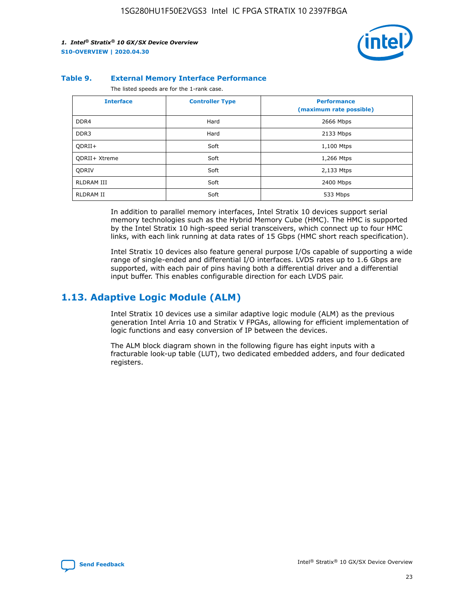![](_page_23_Picture_2.jpeg)

#### **Table 9. External Memory Interface Performance**

The listed speeds are for the 1-rank case.

| <b>Interface</b> | <b>Controller Type</b> | <b>Performance</b><br>(maximum rate possible) |
|------------------|------------------------|-----------------------------------------------|
| DDR4             | Hard                   | 2666 Mbps                                     |
| DDR <sub>3</sub> | Hard                   | 2133 Mbps                                     |
| QDRII+           | Soft                   | 1,100 Mtps                                    |
| QDRII+ Xtreme    | Soft                   | 1,266 Mtps                                    |
| <b>ODRIV</b>     | Soft                   | 2,133 Mtps                                    |
| RLDRAM III       | Soft                   | 2400 Mbps                                     |
| <b>RLDRAM II</b> | Soft                   | 533 Mbps                                      |

In addition to parallel memory interfaces, Intel Stratix 10 devices support serial memory technologies such as the Hybrid Memory Cube (HMC). The HMC is supported by the Intel Stratix 10 high-speed serial transceivers, which connect up to four HMC links, with each link running at data rates of 15 Gbps (HMC short reach specification).

Intel Stratix 10 devices also feature general purpose I/Os capable of supporting a wide range of single-ended and differential I/O interfaces. LVDS rates up to 1.6 Gbps are supported, with each pair of pins having both a differential driver and a differential input buffer. This enables configurable direction for each LVDS pair.

## **1.13. Adaptive Logic Module (ALM)**

Intel Stratix 10 devices use a similar adaptive logic module (ALM) as the previous generation Intel Arria 10 and Stratix V FPGAs, allowing for efficient implementation of logic functions and easy conversion of IP between the devices.

The ALM block diagram shown in the following figure has eight inputs with a fracturable look-up table (LUT), two dedicated embedded adders, and four dedicated registers.

![](_page_23_Picture_11.jpeg)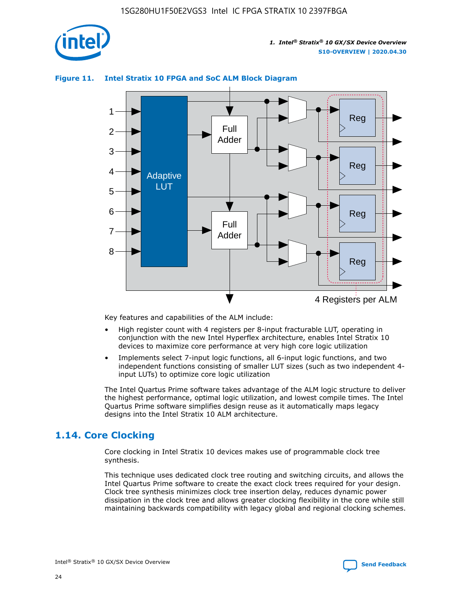![](_page_24_Picture_1.jpeg)

## **Figure 11. Intel Stratix 10 FPGA and SoC ALM Block Diagram**

![](_page_24_Figure_4.jpeg)

Key features and capabilities of the ALM include:

- High register count with 4 registers per 8-input fracturable LUT, operating in conjunction with the new Intel Hyperflex architecture, enables Intel Stratix 10 devices to maximize core performance at very high core logic utilization
- Implements select 7-input logic functions, all 6-input logic functions, and two independent functions consisting of smaller LUT sizes (such as two independent 4 input LUTs) to optimize core logic utilization

The Intel Quartus Prime software takes advantage of the ALM logic structure to deliver the highest performance, optimal logic utilization, and lowest compile times. The Intel Quartus Prime software simplifies design reuse as it automatically maps legacy designs into the Intel Stratix 10 ALM architecture.

## **1.14. Core Clocking**

Core clocking in Intel Stratix 10 devices makes use of programmable clock tree synthesis.

This technique uses dedicated clock tree routing and switching circuits, and allows the Intel Quartus Prime software to create the exact clock trees required for your design. Clock tree synthesis minimizes clock tree insertion delay, reduces dynamic power dissipation in the clock tree and allows greater clocking flexibility in the core while still maintaining backwards compatibility with legacy global and regional clocking schemes.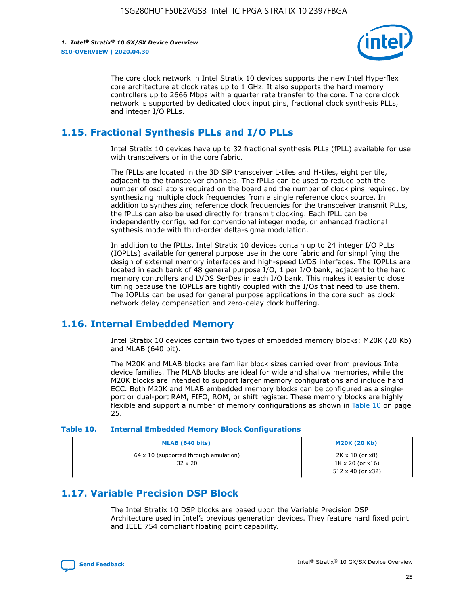![](_page_25_Picture_2.jpeg)

The core clock network in Intel Stratix 10 devices supports the new Intel Hyperflex core architecture at clock rates up to 1 GHz. It also supports the hard memory controllers up to 2666 Mbps with a quarter rate transfer to the core. The core clock network is supported by dedicated clock input pins, fractional clock synthesis PLLs, and integer I/O PLLs.

## **1.15. Fractional Synthesis PLLs and I/O PLLs**

Intel Stratix 10 devices have up to 32 fractional synthesis PLLs (fPLL) available for use with transceivers or in the core fabric.

The fPLLs are located in the 3D SiP transceiver L-tiles and H-tiles, eight per tile, adjacent to the transceiver channels. The fPLLs can be used to reduce both the number of oscillators required on the board and the number of clock pins required, by synthesizing multiple clock frequencies from a single reference clock source. In addition to synthesizing reference clock frequencies for the transceiver transmit PLLs, the fPLLs can also be used directly for transmit clocking. Each fPLL can be independently configured for conventional integer mode, or enhanced fractional synthesis mode with third-order delta-sigma modulation.

In addition to the fPLLs, Intel Stratix 10 devices contain up to 24 integer I/O PLLs (IOPLLs) available for general purpose use in the core fabric and for simplifying the design of external memory interfaces and high-speed LVDS interfaces. The IOPLLs are located in each bank of 48 general purpose I/O, 1 per I/O bank, adjacent to the hard memory controllers and LVDS SerDes in each I/O bank. This makes it easier to close timing because the IOPLLs are tightly coupled with the I/Os that need to use them. The IOPLLs can be used for general purpose applications in the core such as clock network delay compensation and zero-delay clock buffering.

## **1.16. Internal Embedded Memory**

Intel Stratix 10 devices contain two types of embedded memory blocks: M20K (20 Kb) and MLAB (640 bit).

The M20K and MLAB blocks are familiar block sizes carried over from previous Intel device families. The MLAB blocks are ideal for wide and shallow memories, while the M20K blocks are intended to support larger memory configurations and include hard ECC. Both M20K and MLAB embedded memory blocks can be configured as a singleport or dual-port RAM, FIFO, ROM, or shift register. These memory blocks are highly flexible and support a number of memory configurations as shown in Table 10 on page 25.

#### **Table 10. Internal Embedded Memory Block Configurations**

| MLAB (640 bits)                                                | <b>M20K (20 Kb)</b>                                                                    |
|----------------------------------------------------------------|----------------------------------------------------------------------------------------|
| $64 \times 10$ (supported through emulation)<br>$32 \times 20$ | $2K \times 10$ (or $x8$ )<br>$1K \times 20$ (or $x16$ )<br>$512 \times 40$ (or $x32$ ) |

## **1.17. Variable Precision DSP Block**

The Intel Stratix 10 DSP blocks are based upon the Variable Precision DSP Architecture used in Intel's previous generation devices. They feature hard fixed point and IEEE 754 compliant floating point capability.

![](_page_25_Picture_15.jpeg)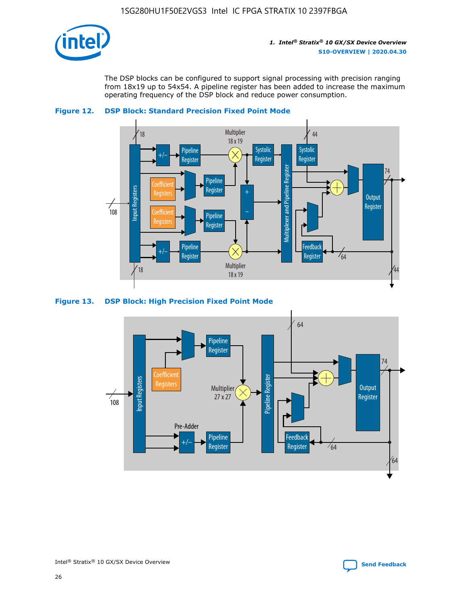![](_page_26_Picture_1.jpeg)

The DSP blocks can be configured to support signal processing with precision ranging from 18x19 up to 54x54. A pipeline register has been added to increase the maximum operating frequency of the DSP block and reduce power consumption.

![](_page_26_Figure_4.jpeg)

![](_page_26_Figure_5.jpeg)

#### **Figure 13. DSP Block: High Precision Fixed Point Mode**

![](_page_26_Figure_7.jpeg)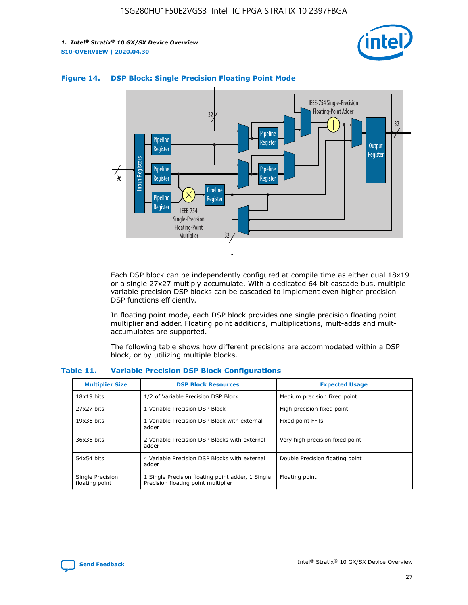![](_page_27_Picture_2.jpeg)

![](_page_27_Figure_3.jpeg)

### **Figure 14. DSP Block: Single Precision Floating Point Mode**

Each DSP block can be independently configured at compile time as either dual 18x19 or a single 27x27 multiply accumulate. With a dedicated 64 bit cascade bus, multiple variable precision DSP blocks can be cascaded to implement even higher precision DSP functions efficiently.

In floating point mode, each DSP block provides one single precision floating point multiplier and adder. Floating point additions, multiplications, mult-adds and multaccumulates are supported.

The following table shows how different precisions are accommodated within a DSP block, or by utilizing multiple blocks.

| <b>Multiplier Size</b>             | <b>DSP Block Resources</b>                                                               | <b>Expected Usage</b>           |
|------------------------------------|------------------------------------------------------------------------------------------|---------------------------------|
| $18x19$ bits                       | 1/2 of Variable Precision DSP Block                                                      | Medium precision fixed point    |
| 27x27 bits                         | 1 Variable Precision DSP Block                                                           | High precision fixed point      |
| $19x36$ bits                       | 1 Variable Precision DSP Block with external<br>adder                                    | Fixed point FFTs                |
| 36x36 bits                         | 2 Variable Precision DSP Blocks with external<br>adder                                   | Very high precision fixed point |
| 54x54 bits                         | 4 Variable Precision DSP Blocks with external<br>adder                                   | Double Precision floating point |
| Single Precision<br>floating point | 1 Single Precision floating point adder, 1 Single<br>Precision floating point multiplier | Floating point                  |

#### **Table 11. Variable Precision DSP Block Configurations**

![](_page_27_Picture_10.jpeg)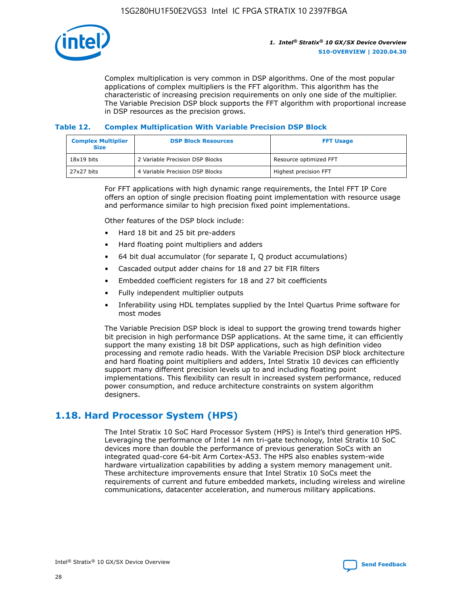![](_page_28_Picture_1.jpeg)

Complex multiplication is very common in DSP algorithms. One of the most popular applications of complex multipliers is the FFT algorithm. This algorithm has the characteristic of increasing precision requirements on only one side of the multiplier. The Variable Precision DSP block supports the FFT algorithm with proportional increase in DSP resources as the precision grows.

## **Table 12. Complex Multiplication With Variable Precision DSP Block**

| <b>Complex Multiplier</b><br><b>Size</b> | <b>DSP Block Resources</b>      | <b>FFT Usage</b>       |
|------------------------------------------|---------------------------------|------------------------|
| $18x19$ bits                             | 2 Variable Precision DSP Blocks | Resource optimized FFT |
| 27x27 bits                               | 4 Variable Precision DSP Blocks | Highest precision FFT  |

For FFT applications with high dynamic range requirements, the Intel FFT IP Core offers an option of single precision floating point implementation with resource usage and performance similar to high precision fixed point implementations.

Other features of the DSP block include:

- Hard 18 bit and 25 bit pre-adders
- Hard floating point multipliers and adders
- 64 bit dual accumulator (for separate I, Q product accumulations)
- Cascaded output adder chains for 18 and 27 bit FIR filters
- Embedded coefficient registers for 18 and 27 bit coefficients
- Fully independent multiplier outputs
- Inferability using HDL templates supplied by the Intel Quartus Prime software for most modes

The Variable Precision DSP block is ideal to support the growing trend towards higher bit precision in high performance DSP applications. At the same time, it can efficiently support the many existing 18 bit DSP applications, such as high definition video processing and remote radio heads. With the Variable Precision DSP block architecture and hard floating point multipliers and adders, Intel Stratix 10 devices can efficiently support many different precision levels up to and including floating point implementations. This flexibility can result in increased system performance, reduced power consumption, and reduce architecture constraints on system algorithm designers.

## **1.18. Hard Processor System (HPS)**

The Intel Stratix 10 SoC Hard Processor System (HPS) is Intel's third generation HPS. Leveraging the performance of Intel 14 nm tri-gate technology, Intel Stratix 10 SoC devices more than double the performance of previous generation SoCs with an integrated quad-core 64-bit Arm Cortex-A53. The HPS also enables system-wide hardware virtualization capabilities by adding a system memory management unit. These architecture improvements ensure that Intel Stratix 10 SoCs meet the requirements of current and future embedded markets, including wireless and wireline communications, datacenter acceleration, and numerous military applications.

![](_page_28_Picture_18.jpeg)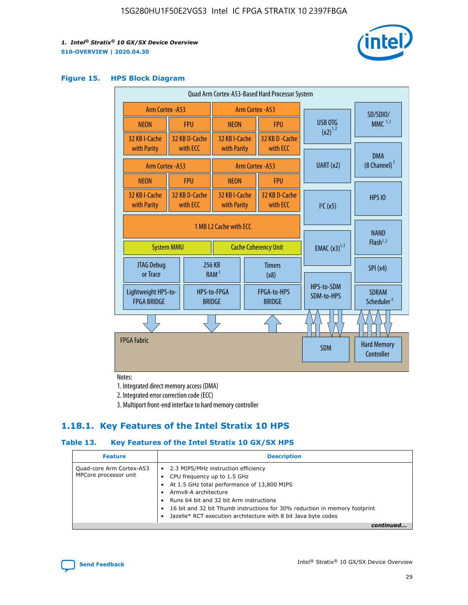![](_page_29_Picture_2.jpeg)

### **Figure 15. HPS Block Diagram**

| Quad Arm Cortex-A53-Based Hard Processor System |  |                                                       |                                                     |                          |                                     |                          |                                        |          |
|-------------------------------------------------|--|-------------------------------------------------------|-----------------------------------------------------|--------------------------|-------------------------------------|--------------------------|----------------------------------------|----------|
| Arm Cortex - A53                                |  |                                                       | Arm Cortex - A53                                    |                          |                                     |                          |                                        | SD/SDIO/ |
| <b>NEON</b>                                     |  | <b>FPU</b>                                            | <b>NEON</b>                                         |                          | <b>FPU</b>                          | USB OTG<br>$(x2)^{1,2}$  | $MMC$ <sup>1,2</sup>                   |          |
| 32 KB I-Cache<br>with Parity                    |  | 32 KB D-Cache<br>with ECC                             | 32 KB I-Cache<br>with Parity                        |                          | 32 KB D - Cache<br>with ECC         |                          |                                        |          |
| Arm Cortex - A53                                |  |                                                       |                                                     |                          | <b>Arm Cortex - A53</b>             | UART (x2)                | <b>DMA</b><br>(8 Channel) <sup>2</sup> |          |
| <b>NEON</b>                                     |  | <b>FPU</b>                                            | <b>NFON</b>                                         |                          | <b>FPU</b>                          |                          |                                        |          |
| 32 KB I-Cache<br>with Parity                    |  | 32 KB D-Cache<br>with ECC                             | 32 KB I-Cache<br>with Parity                        |                          | 32 KB D-Cache<br>with ECC           | I <sup>2</sup> C(x5)     | <b>HPS 10</b>                          |          |
| <b>System MMU</b>                               |  | 1 MB L2 Cache with ECC<br><b>Cache Coherency Unit</b> |                                                     | <b>EMAC</b> $(x3)^{1,2}$ | <b>NAND</b><br>Flash <sup>1,2</sup> |                          |                                        |          |
| JTAG Debug<br>or Trace                          |  |                                                       | 256 KB<br><b>Timers</b><br>RAM <sup>2</sup><br>(x8) |                          |                                     | SPI(x4)                  |                                        |          |
| Lightweight HPS-to-<br><b>FPGA BRIDGE</b>       |  |                                                       | HPS-to-FPGA<br><b>BRIDGE</b>                        |                          | FPGA-to-HPS<br><b>BRIDGE</b>        | HPS-to-SDM<br>SDM-to-HPS | <b>SDRAM</b><br>Scheduler <sup>3</sup> |          |
|                                                 |  |                                                       |                                                     |                          |                                     |                          |                                        |          |
| <b>FPGA Fabric</b>                              |  |                                                       |                                                     |                          |                                     | <b>SDM</b>               | <b>Hard Memory</b><br>Controller       |          |

Notes:

1. Integrated direct memory access (DMA)

2. Integrated error correction code (ECC)

3. Multiport front-end interface to hard memory controller

## **1.18.1. Key Features of the Intel Stratix 10 HPS**

## **Table 13. Key Features of the Intel Stratix 10 GX/SX HPS**

| <b>Feature</b>                                    | <b>Description</b>                                                                                                                                                                                                                                                                                                                          |  |
|---------------------------------------------------|---------------------------------------------------------------------------------------------------------------------------------------------------------------------------------------------------------------------------------------------------------------------------------------------------------------------------------------------|--|
| Quad-core Arm Cortex-A53<br>MPCore processor unit | • 2.3 MIPS/MHz instruction efficiency<br>CPU frequency up to 1.5 GHz<br>٠<br>At 1.5 GHz total performance of 13,800 MIPS<br>Army8-A architecture<br>Runs 64 bit and 32 bit Arm instructions<br>16 bit and 32 bit Thumb instructions for 30% reduction in memory footprint<br>Jazelle* RCT execution architecture with 8 bit Java byte codes |  |
|                                                   |                                                                                                                                                                                                                                                                                                                                             |  |

![](_page_29_Picture_12.jpeg)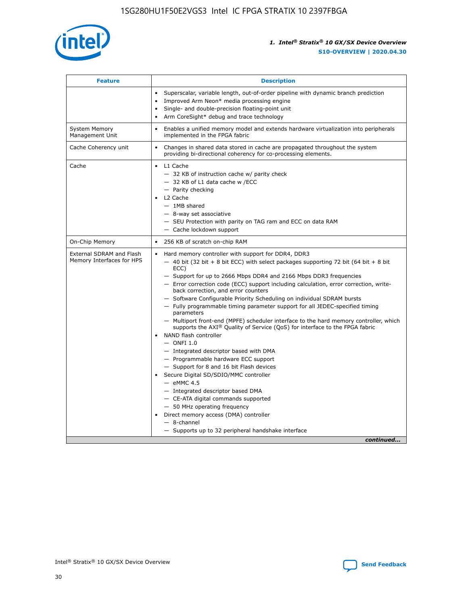![](_page_30_Picture_1.jpeg)

| <b>Feature</b>                                        | <b>Description</b>                                                                                                                                                                                                                                                                                                                                                                                                                                                                                                                                                                                                                                                                                                                                                                                                                                                                                                                                                                                                                                                                                                                                                                                                     |  |
|-------------------------------------------------------|------------------------------------------------------------------------------------------------------------------------------------------------------------------------------------------------------------------------------------------------------------------------------------------------------------------------------------------------------------------------------------------------------------------------------------------------------------------------------------------------------------------------------------------------------------------------------------------------------------------------------------------------------------------------------------------------------------------------------------------------------------------------------------------------------------------------------------------------------------------------------------------------------------------------------------------------------------------------------------------------------------------------------------------------------------------------------------------------------------------------------------------------------------------------------------------------------------------------|--|
|                                                       | Superscalar, variable length, out-of-order pipeline with dynamic branch prediction<br>Improved Arm Neon* media processing engine<br>$\bullet$<br>Single- and double-precision floating-point unit<br>Arm CoreSight* debug and trace technology<br>$\bullet$                                                                                                                                                                                                                                                                                                                                                                                                                                                                                                                                                                                                                                                                                                                                                                                                                                                                                                                                                            |  |
| <b>System Memory</b><br>Management Unit               | Enables a unified memory model and extends hardware virtualization into peripherals<br>$\bullet$<br>implemented in the FPGA fabric                                                                                                                                                                                                                                                                                                                                                                                                                                                                                                                                                                                                                                                                                                                                                                                                                                                                                                                                                                                                                                                                                     |  |
| Cache Coherency unit                                  | $\bullet$<br>Changes in shared data stored in cache are propagated throughout the system<br>providing bi-directional coherency for co-processing elements.                                                                                                                                                                                                                                                                                                                                                                                                                                                                                                                                                                                                                                                                                                                                                                                                                                                                                                                                                                                                                                                             |  |
| Cache                                                 | L1 Cache<br>$\bullet$<br>- 32 KB of instruction cache w/ parity check<br>- 32 KB of L1 data cache w /ECC<br>- Parity checking<br>L2 Cache<br>$-$ 1MB shared<br>- 8-way set associative<br>- SEU Protection with parity on TAG ram and ECC on data RAM<br>- Cache lockdown support                                                                                                                                                                                                                                                                                                                                                                                                                                                                                                                                                                                                                                                                                                                                                                                                                                                                                                                                      |  |
| On-Chip Memory                                        | 256 KB of scratch on-chip RAM<br>$\bullet$                                                                                                                                                                                                                                                                                                                                                                                                                                                                                                                                                                                                                                                                                                                                                                                                                                                                                                                                                                                                                                                                                                                                                                             |  |
| External SDRAM and Flash<br>Memory Interfaces for HPS | Hard memory controller with support for DDR4, DDR3<br>$\bullet$<br>$-$ 40 bit (32 bit + 8 bit ECC) with select packages supporting 72 bit (64 bit + 8 bit<br>ECC)<br>- Support for up to 2666 Mbps DDR4 and 2166 Mbps DDR3 frequencies<br>- Error correction code (ECC) support including calculation, error correction, write-<br>back correction, and error counters<br>- Software Configurable Priority Scheduling on individual SDRAM bursts<br>- Fully programmable timing parameter support for all JEDEC-specified timing<br>parameters<br>- Multiport front-end (MPFE) scheduler interface to the hard memory controller, which<br>supports the $AXI^{\circledR}$ Quality of Service (QoS) for interface to the FPGA fabric<br>NAND flash controller<br>$-$ ONFI 1.0<br>- Integrated descriptor based with DMA<br>- Programmable hardware ECC support<br>- Support for 8 and 16 bit Flash devices<br>Secure Digital SD/SDIO/MMC controller<br>$-$ eMMC 4.5<br>- Integrated descriptor based DMA<br>- CE-ATA digital commands supported<br>- 50 MHz operating frequency<br>Direct memory access (DMA) controller<br>$\bullet$<br>- 8-channel<br>- Supports up to 32 peripheral handshake interface<br>continued |  |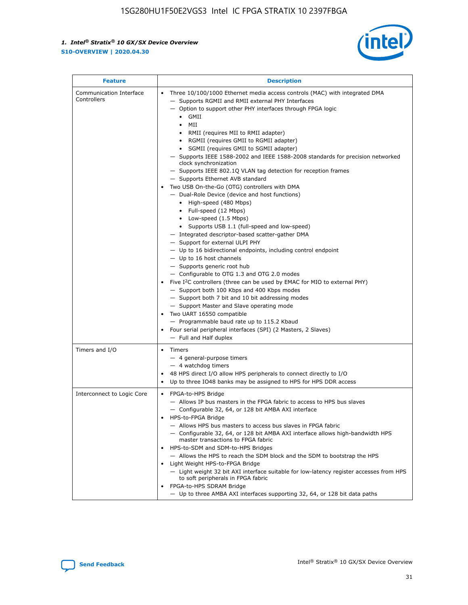![](_page_31_Picture_2.jpeg)

| <b>Feature</b>                         | <b>Description</b>                                                                                                                                                                                                                                                                                                                                                                                                                                                                                                                                                                                                                                                                                                                                                                                                                                                                                                                                                                                                                                                                                                                                                                                                                                                                                                                                                                                                                                                                           |
|----------------------------------------|----------------------------------------------------------------------------------------------------------------------------------------------------------------------------------------------------------------------------------------------------------------------------------------------------------------------------------------------------------------------------------------------------------------------------------------------------------------------------------------------------------------------------------------------------------------------------------------------------------------------------------------------------------------------------------------------------------------------------------------------------------------------------------------------------------------------------------------------------------------------------------------------------------------------------------------------------------------------------------------------------------------------------------------------------------------------------------------------------------------------------------------------------------------------------------------------------------------------------------------------------------------------------------------------------------------------------------------------------------------------------------------------------------------------------------------------------------------------------------------------|
| Communication Interface<br>Controllers | Three 10/100/1000 Ethernet media access controls (MAC) with integrated DMA<br>- Supports RGMII and RMII external PHY Interfaces<br>- Option to support other PHY interfaces through FPGA logic<br>$\bullet$ GMII<br>MII<br>$\bullet$<br>RMII (requires MII to RMII adapter)<br>• RGMII (requires GMII to RGMII adapter)<br>SGMII (requires GMII to SGMII adapter)<br>- Supports IEEE 1588-2002 and IEEE 1588-2008 standards for precision networked<br>clock synchronization<br>- Supports IEEE 802.1Q VLAN tag detection for reception frames<br>- Supports Ethernet AVB standard<br>Two USB On-the-Go (OTG) controllers with DMA<br>- Dual-Role Device (device and host functions)<br>• High-speed (480 Mbps)<br>• Full-speed (12 Mbps)<br>• Low-speed (1.5 Mbps)<br>• Supports USB 1.1 (full-speed and low-speed)<br>- Integrated descriptor-based scatter-gather DMA<br>- Support for external ULPI PHY<br>- Up to 16 bidirectional endpoints, including control endpoint<br>$-$ Up to 16 host channels<br>- Supports generic root hub<br>- Configurable to OTG 1.3 and OTG 2.0 modes<br>Five $I2C$ controllers (three can be used by EMAC for MIO to external PHY)<br>- Support both 100 Kbps and 400 Kbps modes<br>- Support both 7 bit and 10 bit addressing modes<br>- Support Master and Slave operating mode<br>Two UART 16550 compatible<br>- Programmable baud rate up to 115.2 Kbaud<br>Four serial peripheral interfaces (SPI) (2 Masters, 2 Slaves)<br>- Full and Half duplex |
| Timers and I/O                         | Timers<br>- 4 general-purpose timers<br>$-4$ watchdog timers<br>48 HPS direct I/O allow HPS peripherals to connect directly to I/O<br>Up to three IO48 banks may be assigned to HPS for HPS DDR access                                                                                                                                                                                                                                                                                                                                                                                                                                                                                                                                                                                                                                                                                                                                                                                                                                                                                                                                                                                                                                                                                                                                                                                                                                                                                       |
| Interconnect to Logic Core             | • FPGA-to-HPS Bridge<br>- Allows IP bus masters in the FPGA fabric to access to HPS bus slaves<br>- Configurable 32, 64, or 128 bit AMBA AXI interface<br>HPS-to-FPGA Bridge<br>- Allows HPS bus masters to access bus slaves in FPGA fabric<br>- Configurable 32, 64, or 128 bit AMBA AXI interface allows high-bandwidth HPS<br>master transactions to FPGA fabric<br>HPS-to-SDM and SDM-to-HPS Bridges<br>- Allows the HPS to reach the SDM block and the SDM to bootstrap the HPS<br>Light Weight HPS-to-FPGA Bridge<br>- Light weight 32 bit AXI interface suitable for low-latency register accesses from HPS<br>to soft peripherals in FPGA fabric<br>FPGA-to-HPS SDRAM Bridge<br>- Up to three AMBA AXI interfaces supporting 32, 64, or 128 bit data paths                                                                                                                                                                                                                                                                                                                                                                                                                                                                                                                                                                                                                                                                                                                          |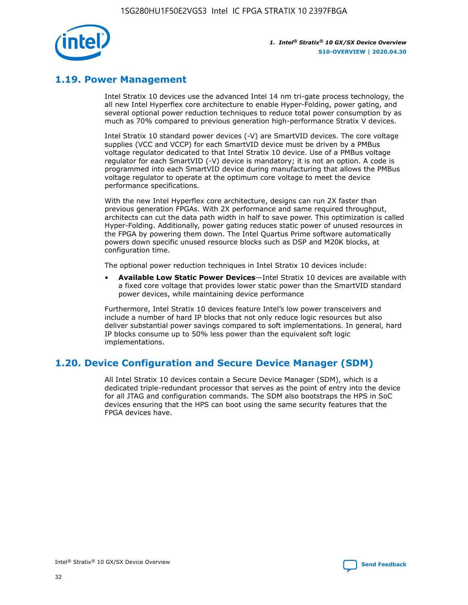![](_page_32_Picture_1.jpeg)

## **1.19. Power Management**

Intel Stratix 10 devices use the advanced Intel 14 nm tri-gate process technology, the all new Intel Hyperflex core architecture to enable Hyper-Folding, power gating, and several optional power reduction techniques to reduce total power consumption by as much as 70% compared to previous generation high-performance Stratix V devices.

Intel Stratix 10 standard power devices (-V) are SmartVID devices. The core voltage supplies (VCC and VCCP) for each SmartVID device must be driven by a PMBus voltage regulator dedicated to that Intel Stratix 10 device. Use of a PMBus voltage regulator for each SmartVID (-V) device is mandatory; it is not an option. A code is programmed into each SmartVID device during manufacturing that allows the PMBus voltage regulator to operate at the optimum core voltage to meet the device performance specifications.

With the new Intel Hyperflex core architecture, designs can run 2X faster than previous generation FPGAs. With 2X performance and same required throughput, architects can cut the data path width in half to save power. This optimization is called Hyper-Folding. Additionally, power gating reduces static power of unused resources in the FPGA by powering them down. The Intel Quartus Prime software automatically powers down specific unused resource blocks such as DSP and M20K blocks, at configuration time.

The optional power reduction techniques in Intel Stratix 10 devices include:

• **Available Low Static Power Devices**—Intel Stratix 10 devices are available with a fixed core voltage that provides lower static power than the SmartVID standard power devices, while maintaining device performance

Furthermore, Intel Stratix 10 devices feature Intel's low power transceivers and include a number of hard IP blocks that not only reduce logic resources but also deliver substantial power savings compared to soft implementations. In general, hard IP blocks consume up to 50% less power than the equivalent soft logic implementations.

## **1.20. Device Configuration and Secure Device Manager (SDM)**

All Intel Stratix 10 devices contain a Secure Device Manager (SDM), which is a dedicated triple-redundant processor that serves as the point of entry into the device for all JTAG and configuration commands. The SDM also bootstraps the HPS in SoC devices ensuring that the HPS can boot using the same security features that the FPGA devices have.

![](_page_32_Picture_12.jpeg)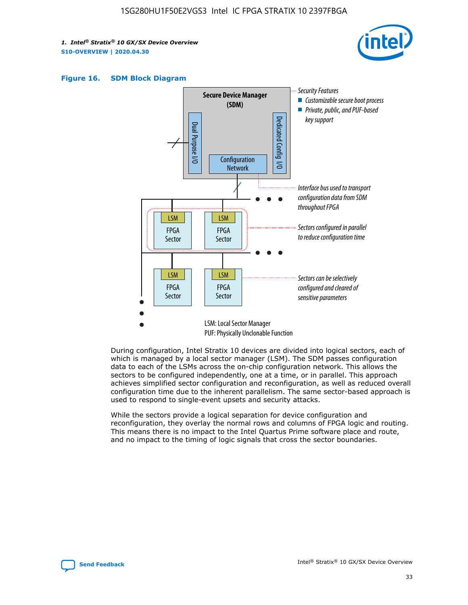![](_page_33_Picture_2.jpeg)

![](_page_33_Figure_3.jpeg)

![](_page_33_Figure_4.jpeg)

During configuration, Intel Stratix 10 devices are divided into logical sectors, each of which is managed by a local sector manager (LSM). The SDM passes configuration data to each of the LSMs across the on-chip configuration network. This allows the sectors to be configured independently, one at a time, or in parallel. This approach achieves simplified sector configuration and reconfiguration, as well as reduced overall configuration time due to the inherent parallelism. The same sector-based approach is used to respond to single-event upsets and security attacks.

While the sectors provide a logical separation for device configuration and reconfiguration, they overlay the normal rows and columns of FPGA logic and routing. This means there is no impact to the Intel Quartus Prime software place and route, and no impact to the timing of logic signals that cross the sector boundaries.

![](_page_33_Picture_7.jpeg)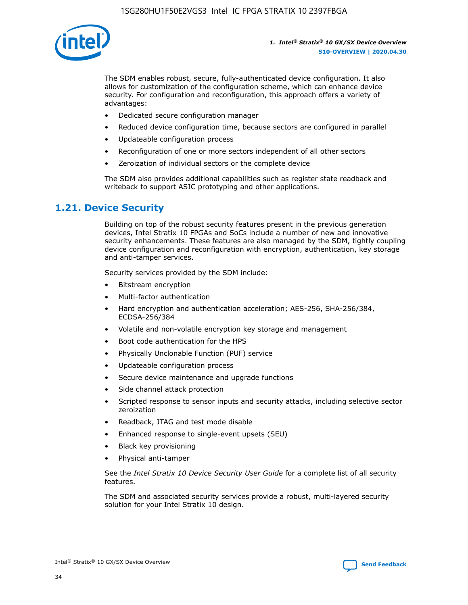![](_page_34_Picture_1.jpeg)

The SDM enables robust, secure, fully-authenticated device configuration. It also allows for customization of the configuration scheme, which can enhance device security. For configuration and reconfiguration, this approach offers a variety of advantages:

- Dedicated secure configuration manager
- Reduced device configuration time, because sectors are configured in parallel
- Updateable configuration process
- Reconfiguration of one or more sectors independent of all other sectors
- Zeroization of individual sectors or the complete device

The SDM also provides additional capabilities such as register state readback and writeback to support ASIC prototyping and other applications.

## **1.21. Device Security**

Building on top of the robust security features present in the previous generation devices, Intel Stratix 10 FPGAs and SoCs include a number of new and innovative security enhancements. These features are also managed by the SDM, tightly coupling device configuration and reconfiguration with encryption, authentication, key storage and anti-tamper services.

Security services provided by the SDM include:

- Bitstream encryption
- Multi-factor authentication
- Hard encryption and authentication acceleration; AES-256, SHA-256/384, ECDSA-256/384
- Volatile and non-volatile encryption key storage and management
- Boot code authentication for the HPS
- Physically Unclonable Function (PUF) service
- Updateable configuration process
- Secure device maintenance and upgrade functions
- Side channel attack protection
- Scripted response to sensor inputs and security attacks, including selective sector zeroization
- Readback, JTAG and test mode disable
- Enhanced response to single-event upsets (SEU)
- Black key provisioning
- Physical anti-tamper

See the *Intel Stratix 10 Device Security User Guide* for a complete list of all security features.

The SDM and associated security services provide a robust, multi-layered security solution for your Intel Stratix 10 design.

![](_page_34_Picture_29.jpeg)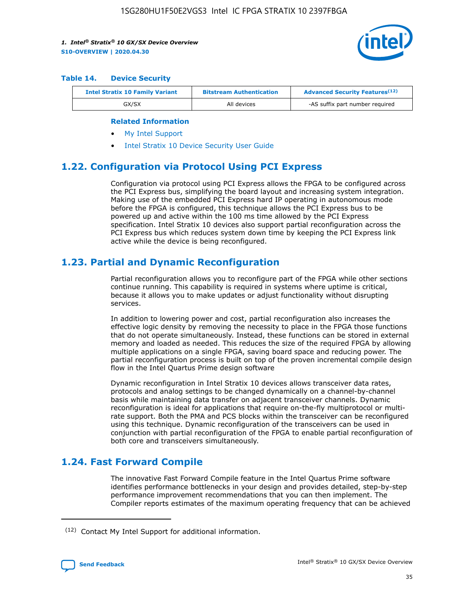![](_page_35_Picture_2.jpeg)

#### **Table 14. Device Security**

| <b>Intel Stratix 10 Family Variant</b> | <b>Bitstream Authentication</b> | <b>Advanced Security Features</b> <sup>(12)</sup> |
|----------------------------------------|---------------------------------|---------------------------------------------------|
| GX/SX                                  | All devices                     | -AS suffix part number required                   |

#### **Related Information**

- [My Intel Support](https://www.intel.com/content/www/us/en/programmable/my-intel/mal-home.html)
- [Intel Stratix 10 Device Security User Guide](https://www.intel.com/content/www/us/en/programmable/documentation/ndq1483601370898.html#wcd1483611014402)

## **1.22. Configuration via Protocol Using PCI Express**

Configuration via protocol using PCI Express allows the FPGA to be configured across the PCI Express bus, simplifying the board layout and increasing system integration. Making use of the embedded PCI Express hard IP operating in autonomous mode before the FPGA is configured, this technique allows the PCI Express bus to be powered up and active within the 100 ms time allowed by the PCI Express specification. Intel Stratix 10 devices also support partial reconfiguration across the PCI Express bus which reduces system down time by keeping the PCI Express link active while the device is being reconfigured.

## **1.23. Partial and Dynamic Reconfiguration**

Partial reconfiguration allows you to reconfigure part of the FPGA while other sections continue running. This capability is required in systems where uptime is critical, because it allows you to make updates or adjust functionality without disrupting services.

In addition to lowering power and cost, partial reconfiguration also increases the effective logic density by removing the necessity to place in the FPGA those functions that do not operate simultaneously. Instead, these functions can be stored in external memory and loaded as needed. This reduces the size of the required FPGA by allowing multiple applications on a single FPGA, saving board space and reducing power. The partial reconfiguration process is built on top of the proven incremental compile design flow in the Intel Quartus Prime design software

Dynamic reconfiguration in Intel Stratix 10 devices allows transceiver data rates, protocols and analog settings to be changed dynamically on a channel-by-channel basis while maintaining data transfer on adjacent transceiver channels. Dynamic reconfiguration is ideal for applications that require on-the-fly multiprotocol or multirate support. Both the PMA and PCS blocks within the transceiver can be reconfigured using this technique. Dynamic reconfiguration of the transceivers can be used in conjunction with partial reconfiguration of the FPGA to enable partial reconfiguration of both core and transceivers simultaneously.

## **1.24. Fast Forward Compile**

The innovative Fast Forward Compile feature in the Intel Quartus Prime software identifies performance bottlenecks in your design and provides detailed, step-by-step performance improvement recommendations that you can then implement. The Compiler reports estimates of the maximum operating frequency that can be achieved

<sup>(12)</sup> Contact My Intel Support for additional information.

![](_page_35_Picture_17.jpeg)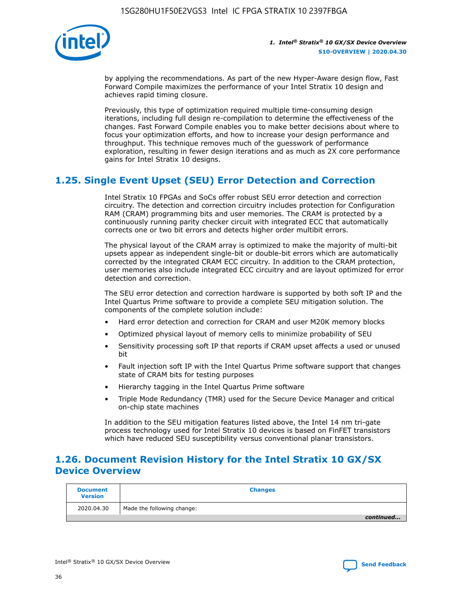![](_page_36_Picture_1.jpeg)

by applying the recommendations. As part of the new Hyper-Aware design flow, Fast Forward Compile maximizes the performance of your Intel Stratix 10 design and achieves rapid timing closure.

Previously, this type of optimization required multiple time-consuming design iterations, including full design re-compilation to determine the effectiveness of the changes. Fast Forward Compile enables you to make better decisions about where to focus your optimization efforts, and how to increase your design performance and throughput. This technique removes much of the guesswork of performance exploration, resulting in fewer design iterations and as much as 2X core performance gains for Intel Stratix 10 designs.

## **1.25. Single Event Upset (SEU) Error Detection and Correction**

Intel Stratix 10 FPGAs and SoCs offer robust SEU error detection and correction circuitry. The detection and correction circuitry includes protection for Configuration RAM (CRAM) programming bits and user memories. The CRAM is protected by a continuously running parity checker circuit with integrated ECC that automatically corrects one or two bit errors and detects higher order multibit errors.

The physical layout of the CRAM array is optimized to make the majority of multi-bit upsets appear as independent single-bit or double-bit errors which are automatically corrected by the integrated CRAM ECC circuitry. In addition to the CRAM protection, user memories also include integrated ECC circuitry and are layout optimized for error detection and correction.

The SEU error detection and correction hardware is supported by both soft IP and the Intel Quartus Prime software to provide a complete SEU mitigation solution. The components of the complete solution include:

- Hard error detection and correction for CRAM and user M20K memory blocks
- Optimized physical layout of memory cells to minimize probability of SEU
- Sensitivity processing soft IP that reports if CRAM upset affects a used or unused bit
- Fault injection soft IP with the Intel Quartus Prime software support that changes state of CRAM bits for testing purposes
- Hierarchy tagging in the Intel Quartus Prime software
- Triple Mode Redundancy (TMR) used for the Secure Device Manager and critical on-chip state machines

In addition to the SEU mitigation features listed above, the Intel 14 nm tri-gate process technology used for Intel Stratix 10 devices is based on FinFET transistors which have reduced SEU susceptibility versus conventional planar transistors.

## **1.26. Document Revision History for the Intel Stratix 10 GX/SX Device Overview**

| <b>Document</b><br><b>Version</b> | <b>Changes</b>             |
|-----------------------------------|----------------------------|
| 2020.04.30                        | Made the following change: |
|                                   | continued                  |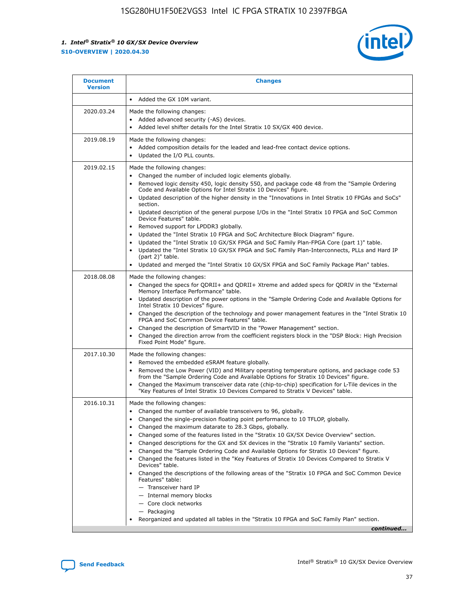![](_page_37_Picture_2.jpeg)

| <b>Document</b><br><b>Version</b> | <b>Changes</b>                                                                                                                                                                                                                                                                                                                                                                                                                                                                                                                                                                                                                                                                                                                                                                                                                                                                                                                                                                  |
|-----------------------------------|---------------------------------------------------------------------------------------------------------------------------------------------------------------------------------------------------------------------------------------------------------------------------------------------------------------------------------------------------------------------------------------------------------------------------------------------------------------------------------------------------------------------------------------------------------------------------------------------------------------------------------------------------------------------------------------------------------------------------------------------------------------------------------------------------------------------------------------------------------------------------------------------------------------------------------------------------------------------------------|
|                                   | Added the GX 10M variant.                                                                                                                                                                                                                                                                                                                                                                                                                                                                                                                                                                                                                                                                                                                                                                                                                                                                                                                                                       |
| 2020.03.24                        | Made the following changes:<br>Added advanced security (-AS) devices.<br>Added level shifter details for the Intel Stratix 10 SX/GX 400 device.                                                                                                                                                                                                                                                                                                                                                                                                                                                                                                                                                                                                                                                                                                                                                                                                                                 |
| 2019.08.19                        | Made the following changes:<br>Added composition details for the leaded and lead-free contact device options.<br>Updated the I/O PLL counts.                                                                                                                                                                                                                                                                                                                                                                                                                                                                                                                                                                                                                                                                                                                                                                                                                                    |
| 2019.02.15                        | Made the following changes:<br>Changed the number of included logic elements globally.<br>Removed logic density 450, logic density 550, and package code 48 from the "Sample Ordering<br>$\bullet$<br>Code and Available Options for Intel Stratix 10 Devices" figure.<br>Updated description of the higher density in the "Innovations in Intel Stratix 10 FPGAs and SoCs"<br>section.<br>Updated description of the general purpose I/Os in the "Intel Stratix 10 FPGA and SoC Common<br>$\bullet$<br>Device Features" table.<br>Removed support for LPDDR3 globally.<br>Updated the "Intel Stratix 10 FPGA and SoC Architecture Block Diagram" figure.<br>٠<br>Updated the "Intel Stratix 10 GX/SX FPGA and SoC Family Plan-FPGA Core (part 1)" table.<br>٠<br>Updated the "Intel Stratix 10 GX/SX FPGA and SoC Family Plan-Interconnects, PLLs and Hard IP<br>(part 2)" table.<br>Updated and merged the "Intel Stratix 10 GX/SX FPGA and SoC Family Package Plan" tables.  |
| 2018.08.08                        | Made the following changes:<br>Changed the specs for QDRII+ and QDRII+ Xtreme and added specs for QDRIV in the "External<br>$\bullet$<br>Memory Interface Performance" table.<br>Updated description of the power options in the "Sample Ordering Code and Available Options for<br>Intel Stratix 10 Devices" figure.<br>Changed the description of the technology and power management features in the "Intel Stratix 10<br>FPGA and SoC Common Device Features" table.<br>Changed the description of SmartVID in the "Power Management" section.<br>Changed the direction arrow from the coefficient registers block in the "DSP Block: High Precision<br>$\bullet$<br>Fixed Point Mode" figure.                                                                                                                                                                                                                                                                              |
| 2017.10.30                        | Made the following changes:<br>Removed the embedded eSRAM feature globally.<br>$\bullet$<br>Removed the Low Power (VID) and Military operating temperature options, and package code 53<br>from the "Sample Ordering Code and Available Options for Stratix 10 Devices" figure.<br>Changed the Maximum transceiver data rate (chip-to-chip) specification for L-Tile devices in the<br>"Key Features of Intel Stratix 10 Devices Compared to Stratix V Devices" table.                                                                                                                                                                                                                                                                                                                                                                                                                                                                                                          |
| 2016.10.31                        | Made the following changes:<br>Changed the number of available transceivers to 96, globally.<br>Changed the single-precision floating point performance to 10 TFLOP, globally.<br>Changed the maximum datarate to 28.3 Gbps, globally.<br>٠<br>Changed some of the features listed in the "Stratix 10 GX/SX Device Overview" section.<br>٠<br>Changed descriptions for the GX and SX devices in the "Stratix 10 Family Variants" section.<br>٠<br>Changed the "Sample Ordering Code and Available Options for Stratix 10 Devices" figure.<br>٠<br>Changed the features listed in the "Key Features of Stratix 10 Devices Compared to Stratix V<br>Devices" table.<br>Changed the descriptions of the following areas of the "Stratix 10 FPGA and SoC Common Device<br>Features" table:<br>- Transceiver hard IP<br>- Internal memory blocks<br>- Core clock networks<br>- Packaging<br>Reorganized and updated all tables in the "Stratix 10 FPGA and SoC Family Plan" section. |
|                                   | continued                                                                                                                                                                                                                                                                                                                                                                                                                                                                                                                                                                                                                                                                                                                                                                                                                                                                                                                                                                       |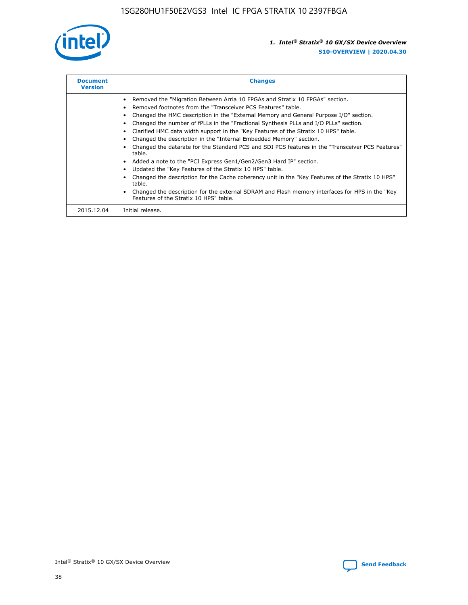![](_page_38_Picture_1.jpeg)

| <b>Document</b><br><b>Version</b> | <b>Changes</b>                                                                                                                                                                                                                                                                                                                                                                                                                                                                                                                                                                                                                                                                                                                                                                                                                                                                                                                                                                                     |  |
|-----------------------------------|----------------------------------------------------------------------------------------------------------------------------------------------------------------------------------------------------------------------------------------------------------------------------------------------------------------------------------------------------------------------------------------------------------------------------------------------------------------------------------------------------------------------------------------------------------------------------------------------------------------------------------------------------------------------------------------------------------------------------------------------------------------------------------------------------------------------------------------------------------------------------------------------------------------------------------------------------------------------------------------------------|--|
|                                   | Removed the "Migration Between Arria 10 FPGAs and Stratix 10 FPGAs" section.<br>Removed footnotes from the "Transceiver PCS Features" table.<br>Changed the HMC description in the "External Memory and General Purpose I/O" section.<br>Changed the number of fPLLs in the "Fractional Synthesis PLLs and I/O PLLs" section.<br>Clarified HMC data width support in the "Key Features of the Stratix 10 HPS" table.<br>Changed the description in the "Internal Embedded Memory" section.<br>Changed the datarate for the Standard PCS and SDI PCS features in the "Transceiver PCS Features"<br>table.<br>Added a note to the "PCI Express Gen1/Gen2/Gen3 Hard IP" section.<br>Updated the "Key Features of the Stratix 10 HPS" table.<br>Changed the description for the Cache coherency unit in the "Key Features of the Stratix 10 HPS"<br>table.<br>Changed the description for the external SDRAM and Flash memory interfaces for HPS in the "Key<br>Features of the Stratix 10 HPS" table. |  |
| 2015.12.04                        | Initial release.                                                                                                                                                                                                                                                                                                                                                                                                                                                                                                                                                                                                                                                                                                                                                                                                                                                                                                                                                                                   |  |

![](_page_38_Picture_4.jpeg)